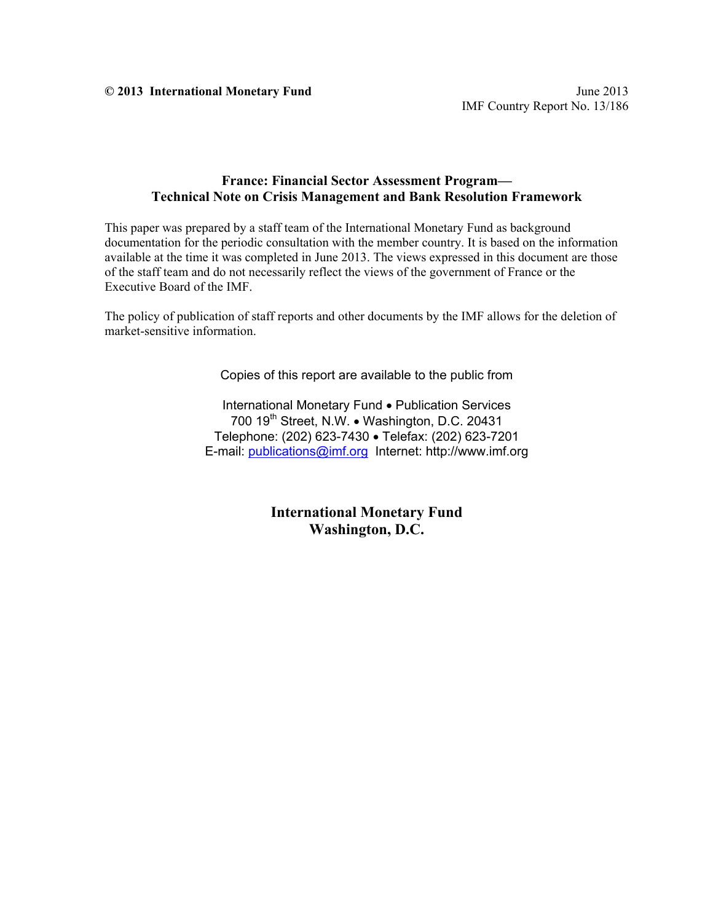#### **France: Financial Sector Assessment Program— Technical Note on Crisis Management and Bank Resolution Framework**

This paper was prepared by a staff team of the International Monetary Fund as background documentation for the periodic consultation with the member country. It is based on the information available at the time it was completed in June 2013. The views expressed in this document are those of the staff team and do not necessarily reflect the views of the government of France or the Executive Board of the IMF.

The policy of publication of staff reports and other documents by the IMF allows for the deletion of market-sensitive information.

Copies of this report are available to the public from

International Monetary Fund • Publication Services 700 19<sup>th</sup> Street, N.W. • Washington, D.C. 20431 Telephone: (202) 623-7430 Telefax: (202) 623-7201 E-mail: publications@imf.org Internet: http://www.imf.org

> **International Monetary Fund Washington, D.C.**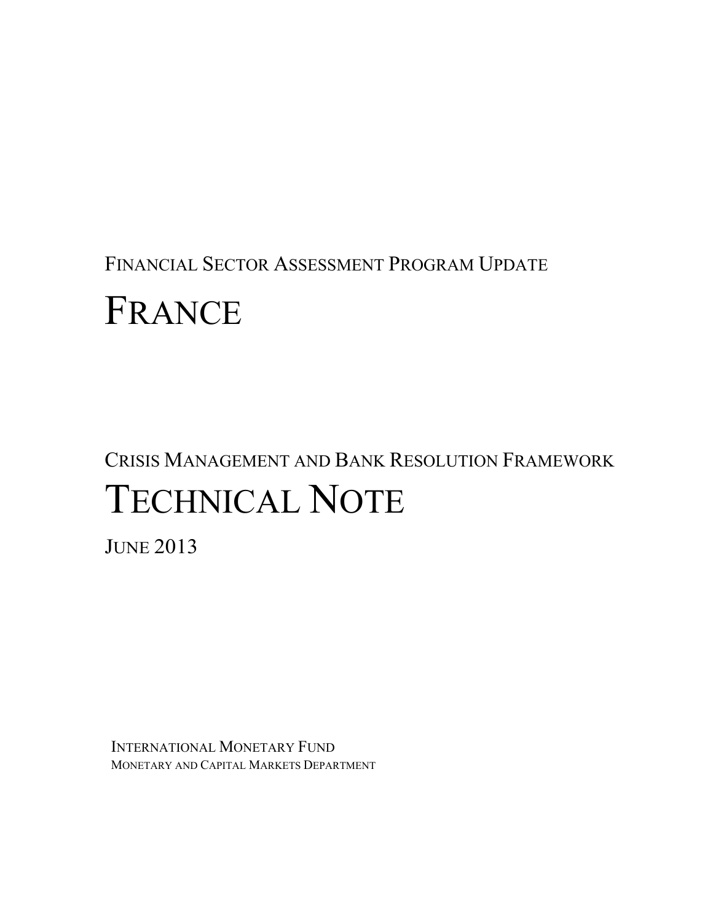## FINANCIAL SECTOR ASSESSMENT PROGRAM UPDATE

# FRANCE

## CRISIS MANAGEMENT AND BANK RESOLUTION FRAMEWORK TECHNICAL NOTE

JUNE 2013

INTERNATIONAL MONETARY FUND MONETARY AND CAPITAL MARKETS DEPARTMENT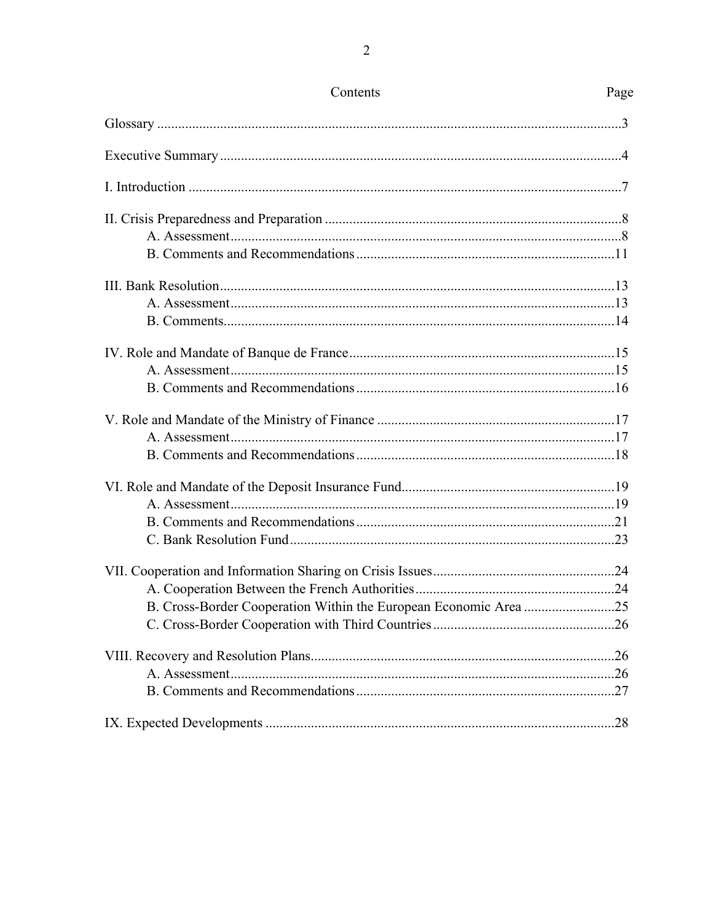| Contents                                                         | Page |
|------------------------------------------------------------------|------|
|                                                                  |      |
|                                                                  |      |
|                                                                  |      |
|                                                                  |      |
|                                                                  |      |
|                                                                  |      |
|                                                                  |      |
|                                                                  |      |
|                                                                  |      |
|                                                                  |      |
|                                                                  |      |
|                                                                  |      |
|                                                                  |      |
|                                                                  |      |
|                                                                  |      |
|                                                                  |      |
|                                                                  |      |
|                                                                  |      |
|                                                                  |      |
|                                                                  |      |
|                                                                  |      |
| B. Cross-Border Cooperation Within the European Economic Area 25 |      |
|                                                                  |      |
|                                                                  |      |
|                                                                  |      |
|                                                                  |      |
|                                                                  |      |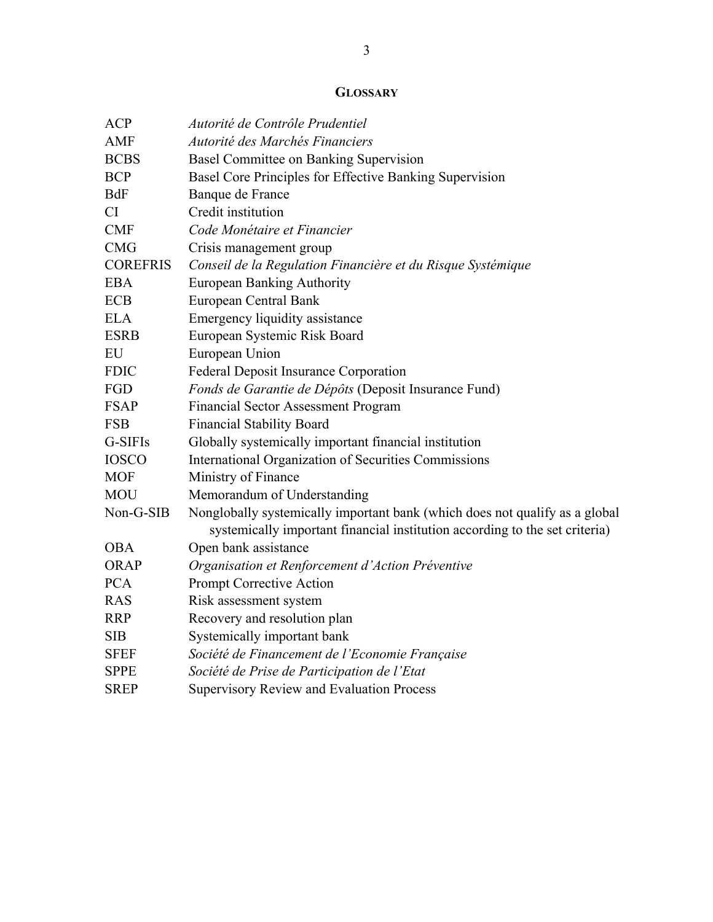## **GLOSSARY**

| <b>ACP</b>      | Autorité de Contrôle Prudentiel                                             |
|-----------------|-----------------------------------------------------------------------------|
| <b>AMF</b>      | Autorité des Marchés Financiers                                             |
| <b>BCBS</b>     | Basel Committee on Banking Supervision                                      |
| <b>BCP</b>      | Basel Core Principles for Effective Banking Supervision                     |
| <b>BdF</b>      | Banque de France                                                            |
| <b>CI</b>       | Credit institution                                                          |
| <b>CMF</b>      | Code Monétaire et Financier                                                 |
| <b>CMG</b>      | Crisis management group                                                     |
| <b>COREFRIS</b> | Conseil de la Regulation Financière et du Risque Systémique                 |
| <b>EBA</b>      | <b>European Banking Authority</b>                                           |
| <b>ECB</b>      | European Central Bank                                                       |
| <b>ELA</b>      | Emergency liquidity assistance                                              |
| <b>ESRB</b>     | European Systemic Risk Board                                                |
| EU              | European Union                                                              |
| <b>FDIC</b>     | Federal Deposit Insurance Corporation                                       |
| FGD             | Fonds de Garantie de Dépôts (Deposit Insurance Fund)                        |
| <b>FSAP</b>     | <b>Financial Sector Assessment Program</b>                                  |
| <b>FSB</b>      | <b>Financial Stability Board</b>                                            |
| G-SIFIs         | Globally systemically important financial institution                       |
| <b>IOSCO</b>    | International Organization of Securities Commissions                        |
| <b>MOF</b>      | Ministry of Finance                                                         |
| <b>MOU</b>      | Memorandum of Understanding                                                 |
| Non-G-SIB       | Nonglobally systemically important bank (which does not qualify as a global |
|                 | systemically important financial institution according to the set criteria) |
| <b>OBA</b>      | Open bank assistance                                                        |
| <b>ORAP</b>     | Organisation et Renforcement d'Action Préventive                            |
| <b>PCA</b>      | Prompt Corrective Action                                                    |
| <b>RAS</b>      | Risk assessment system                                                      |
| <b>RRP</b>      | Recovery and resolution plan                                                |
| <b>SIB</b>      | Systemically important bank                                                 |
| <b>SFEF</b>     | Société de Financement de l'Economie Française                              |
| <b>SPPE</b>     | Société de Prise de Participation de l'Etat                                 |
| <b>SREP</b>     | <b>Supervisory Review and Evaluation Process</b>                            |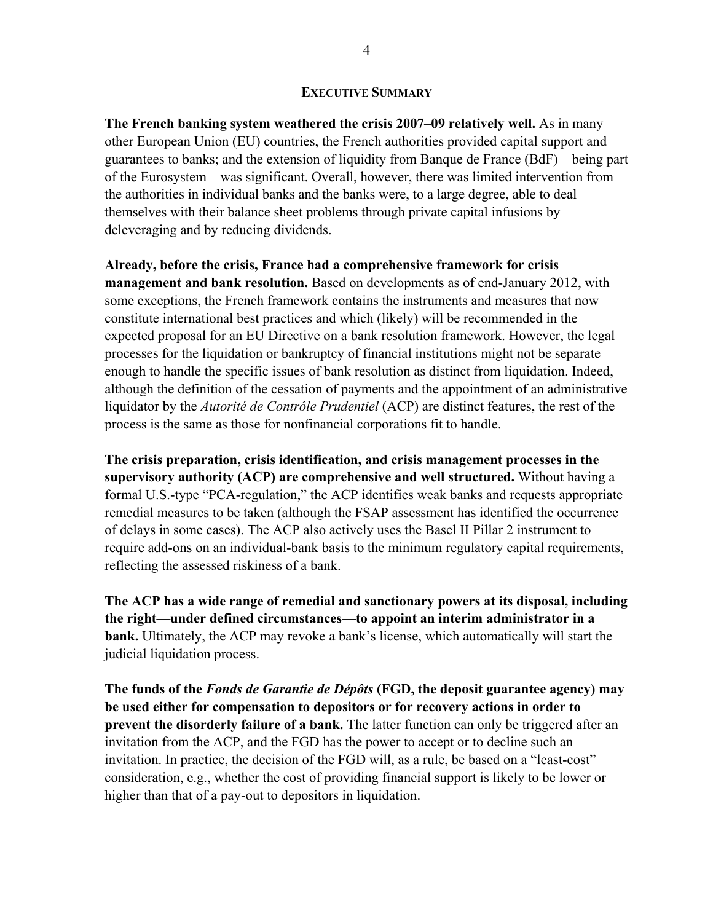#### **EXECUTIVE SUMMARY**

**The French banking system weathered the crisis 2007–09 relatively well.** As in many other European Union (EU) countries, the French authorities provided capital support and guarantees to banks; and the extension of liquidity from Banque de France (BdF)—being part of the Eurosystem—was significant. Overall, however, there was limited intervention from the authorities in individual banks and the banks were, to a large degree, able to deal themselves with their balance sheet problems through private capital infusions by deleveraging and by reducing dividends.

**Already, before the crisis, France had a comprehensive framework for crisis management and bank resolution.** Based on developments as of end-January 2012, with some exceptions, the French framework contains the instruments and measures that now constitute international best practices and which (likely) will be recommended in the expected proposal for an EU Directive on a bank resolution framework. However, the legal processes for the liquidation or bankruptcy of financial institutions might not be separate enough to handle the specific issues of bank resolution as distinct from liquidation. Indeed, although the definition of the cessation of payments and the appointment of an administrative liquidator by the *Autorité de Contrôle Prudentiel* (ACP) are distinct features, the rest of the process is the same as those for nonfinancial corporations fit to handle.

**The crisis preparation, crisis identification, and crisis management processes in the supervisory authority (ACP) are comprehensive and well structured.** Without having a formal U.S.-type "PCA-regulation," the ACP identifies weak banks and requests appropriate remedial measures to be taken (although the FSAP assessment has identified the occurrence of delays in some cases). The ACP also actively uses the Basel II Pillar 2 instrument to require add-ons on an individual-bank basis to the minimum regulatory capital requirements, reflecting the assessed riskiness of a bank.

**The ACP has a wide range of remedial and sanctionary powers at its disposal, including the right—under defined circumstances—to appoint an interim administrator in a bank.** Ultimately, the ACP may revoke a bank's license, which automatically will start the judicial liquidation process.

**The funds of the** *Fonds de Garantie de Dépôts* **(FGD, the deposit guarantee agency) may be used either for compensation to depositors or for recovery actions in order to prevent the disorderly failure of a bank.** The latter function can only be triggered after an invitation from the ACP, and the FGD has the power to accept or to decline such an invitation. In practice, the decision of the FGD will, as a rule, be based on a "least-cost" consideration, e.g., whether the cost of providing financial support is likely to be lower or higher than that of a pay-out to depositors in liquidation.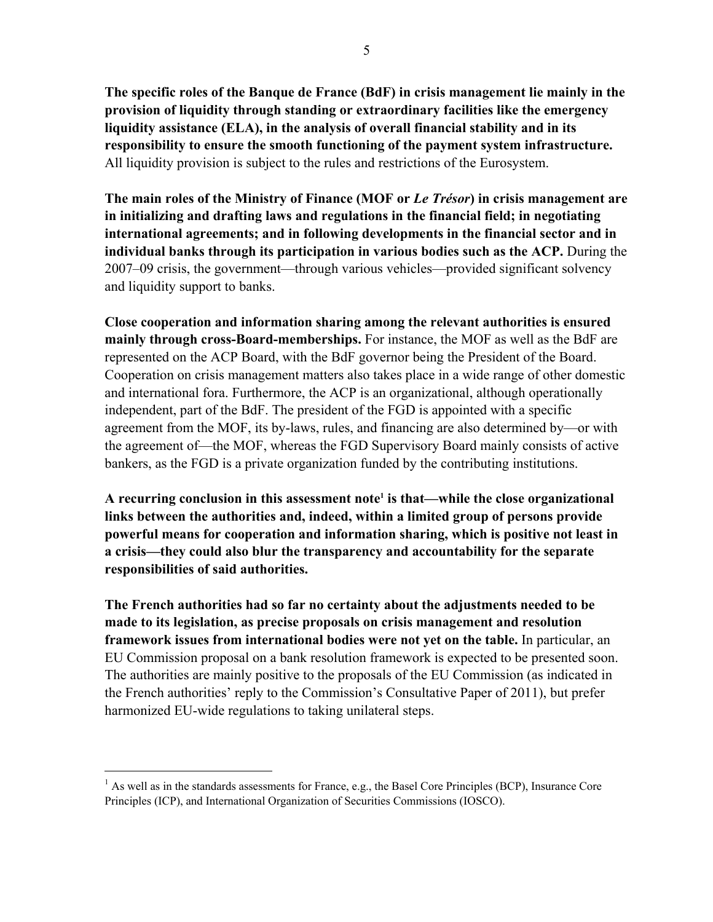**The specific roles of the Banque de France (BdF) in crisis management lie mainly in the provision of liquidity through standing or extraordinary facilities like the emergency liquidity assistance (ELA), in the analysis of overall financial stability and in its responsibility to ensure the smooth functioning of the payment system infrastructure.** All liquidity provision is subject to the rules and restrictions of the Eurosystem.

**The main roles of the Ministry of Finance (MOF or** *Le Trésor***) in crisis management are in initializing and drafting laws and regulations in the financial field; in negotiating international agreements; and in following developments in the financial sector and in individual banks through its participation in various bodies such as the ACP.** During the 2007–09 crisis, the government—through various vehicles—provided significant solvency and liquidity support to banks.

**Close cooperation and information sharing among the relevant authorities is ensured mainly through cross-Board-memberships.** For instance, the MOF as well as the BdF are represented on the ACP Board, with the BdF governor being the President of the Board. Cooperation on crisis management matters also takes place in a wide range of other domestic and international fora. Furthermore, the ACP is an organizational, although operationally independent, part of the BdF. The president of the FGD is appointed with a specific agreement from the MOF, its by-laws, rules, and financing are also determined by—or with the agreement of—the MOF, whereas the FGD Supervisory Board mainly consists of active bankers, as the FGD is a private organization funded by the contributing institutions.

A recurring conclusion in this assessment note<sup>1</sup> is that—while the close organizational **links between the authorities and, indeed, within a limited group of persons provide powerful means for cooperation and information sharing, which is positive not least in a crisis—they could also blur the transparency and accountability for the separate responsibilities of said authorities.** 

**The French authorities had so far no certainty about the adjustments needed to be made to its legislation, as precise proposals on crisis management and resolution framework issues from international bodies were not yet on the table.** In particular, an EU Commission proposal on a bank resolution framework is expected to be presented soon. The authorities are mainly positive to the proposals of the EU Commission (as indicated in the French authorities' reply to the Commission's Consultative Paper of 2011), but prefer harmonized EU-wide regulations to taking unilateral steps.

<sup>&</sup>lt;sup>1</sup> As well as in the standards assessments for France, e.g., the Basel Core Principles (BCP), Insurance Core Principles (ICP), and International Organization of Securities Commissions (IOSCO).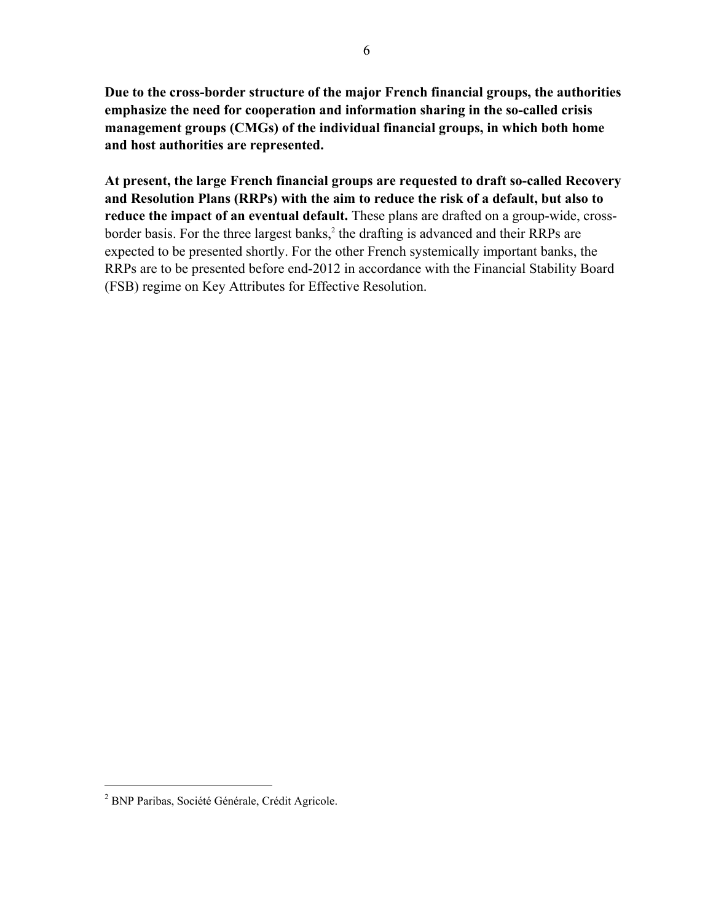**Due to the cross-border structure of the major French financial groups, the authorities emphasize the need for cooperation and information sharing in the so-called crisis management groups (CMGs) of the individual financial groups, in which both home and host authorities are represented.**

**At present, the large French financial groups are requested to draft so-called Recovery and Resolution Plans (RRPs) with the aim to reduce the risk of a default, but also to reduce the impact of an eventual default.** These plans are drafted on a group-wide, crossborder basis. For the three largest banks,<sup>2</sup> the drafting is advanced and their RRPs are expected to be presented shortly. For the other French systemically important banks, the RRPs are to be presented before end-2012 in accordance with the Financial Stability Board (FSB) regime on Key Attributes for Effective Resolution.

<sup>&</sup>lt;sup>2</sup> BNP Paribas, Société Générale, Crédit Agricole.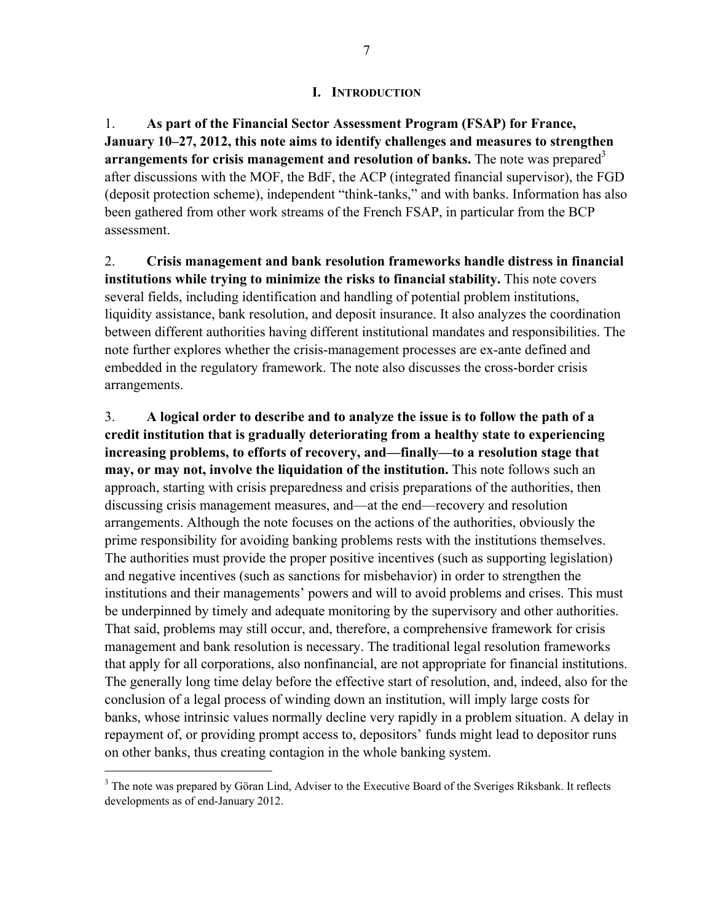#### **I. INTRODUCTION**

1. **As part of the Financial Sector Assessment Program (FSAP) for France, January 10–27, 2012, this note aims to identify challenges and measures to strengthen arrangements for crisis management and resolution of banks.** The note was prepared<sup>3</sup> after discussions with the MOF, the BdF, the ACP (integrated financial supervisor), the FGD (deposit protection scheme), independent "think-tanks," and with banks. Information has also been gathered from other work streams of the French FSAP, in particular from the BCP assessment.

2. **Crisis management and bank resolution frameworks handle distress in financial institutions while trying to minimize the risks to financial stability.** This note covers several fields, including identification and handling of potential problem institutions, liquidity assistance, bank resolution, and deposit insurance. It also analyzes the coordination between different authorities having different institutional mandates and responsibilities. The note further explores whether the crisis-management processes are ex-ante defined and embedded in the regulatory framework. The note also discusses the cross-border crisis arrangements.

3. **A logical order to describe and to analyze the issue is to follow the path of a credit institution that is gradually deteriorating from a healthy state to experiencing increasing problems, to efforts of recovery, and—finally—to a resolution stage that may, or may not, involve the liquidation of the institution.** This note follows such an approach, starting with crisis preparedness and crisis preparations of the authorities, then discussing crisis management measures, and—at the end—recovery and resolution arrangements. Although the note focuses on the actions of the authorities, obviously the prime responsibility for avoiding banking problems rests with the institutions themselves. The authorities must provide the proper positive incentives (such as supporting legislation) and negative incentives (such as sanctions for misbehavior) in order to strengthen the institutions and their managements' powers and will to avoid problems and crises. This must be underpinned by timely and adequate monitoring by the supervisory and other authorities. That said, problems may still occur, and, therefore, a comprehensive framework for crisis management and bank resolution is necessary. The traditional legal resolution frameworks that apply for all corporations, also nonfinancial, are not appropriate for financial institutions. The generally long time delay before the effective start of resolution, and, indeed, also for the conclusion of a legal process of winding down an institution, will imply large costs for banks, whose intrinsic values normally decline very rapidly in a problem situation. A delay in repayment of, or providing prompt access to, depositors' funds might lead to depositor runs on other banks, thus creating contagion in the whole banking system.

<sup>&</sup>lt;sup>3</sup> The note was prepared by Göran Lind, Adviser to the Executive Board of the Sveriges Riksbank. It reflects developments as of end-January 2012.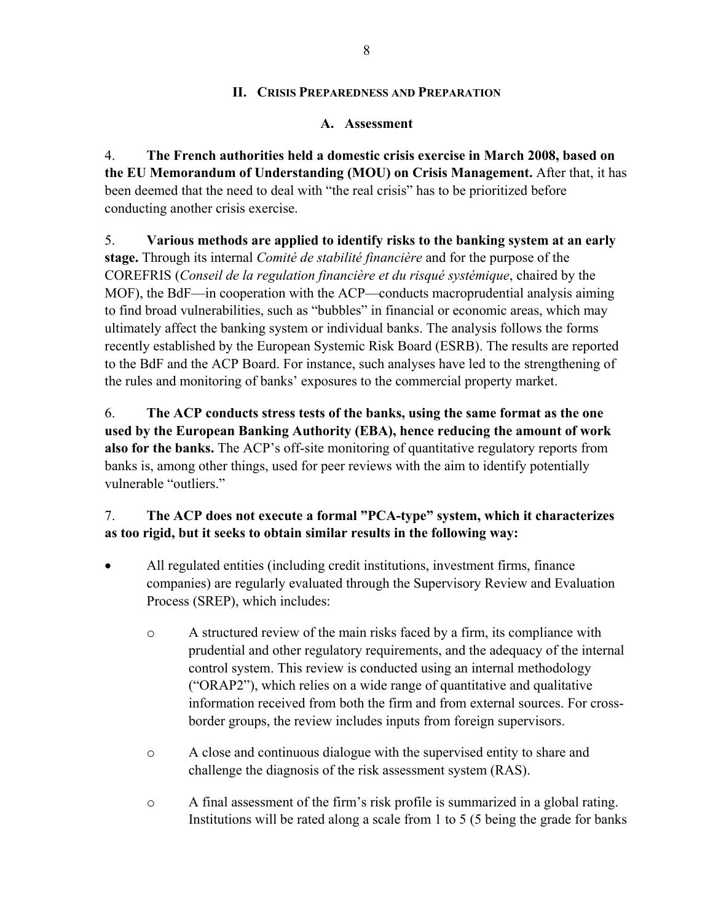#### **II. CRISIS PREPAREDNESS AND PREPARATION**

#### **A. Assessment**

4. **The French authorities held a domestic crisis exercise in March 2008, based on the EU Memorandum of Understanding (MOU) on Crisis Management.** After that, it has been deemed that the need to deal with "the real crisis" has to be prioritized before conducting another crisis exercise.

5. **Various methods are applied to identify risks to the banking system at an early stage.** Through its internal *Comité de stabilité financière* and for the purpose of the COREFRIS (*Conseil de la regulation financière et du risqué systémique*, chaired by the MOF), the BdF—in cooperation with the ACP—conducts macroprudential analysis aiming to find broad vulnerabilities, such as "bubbles" in financial or economic areas, which may ultimately affect the banking system or individual banks. The analysis follows the forms recently established by the European Systemic Risk Board (ESRB). The results are reported to the BdF and the ACP Board. For instance, such analyses have led to the strengthening of the rules and monitoring of banks' exposures to the commercial property market.

6. **The ACP conducts stress tests of the banks, using the same format as the one used by the European Banking Authority (EBA), hence reducing the amount of work also for the banks.** The ACP's off-site monitoring of quantitative regulatory reports from banks is, among other things, used for peer reviews with the aim to identify potentially vulnerable "outliers."

## 7. **The ACP does not execute a formal "PCA-type" system, which it characterizes as too rigid, but it seeks to obtain similar results in the following way:**

- All regulated entities (including credit institutions, investment firms, finance companies) are regularly evaluated through the Supervisory Review and Evaluation Process (SREP), which includes:
	- o A structured review of the main risks faced by a firm, its compliance with prudential and other regulatory requirements, and the adequacy of the internal control system. This review is conducted using an internal methodology ("ORAP2"), which relies on a wide range of quantitative and qualitative information received from both the firm and from external sources. For crossborder groups, the review includes inputs from foreign supervisors.
	- o A close and continuous dialogue with the supervised entity to share and challenge the diagnosis of the risk assessment system (RAS).
	- o A final assessment of the firm's risk profile is summarized in a global rating. Institutions will be rated along a scale from 1 to 5 (5 being the grade for banks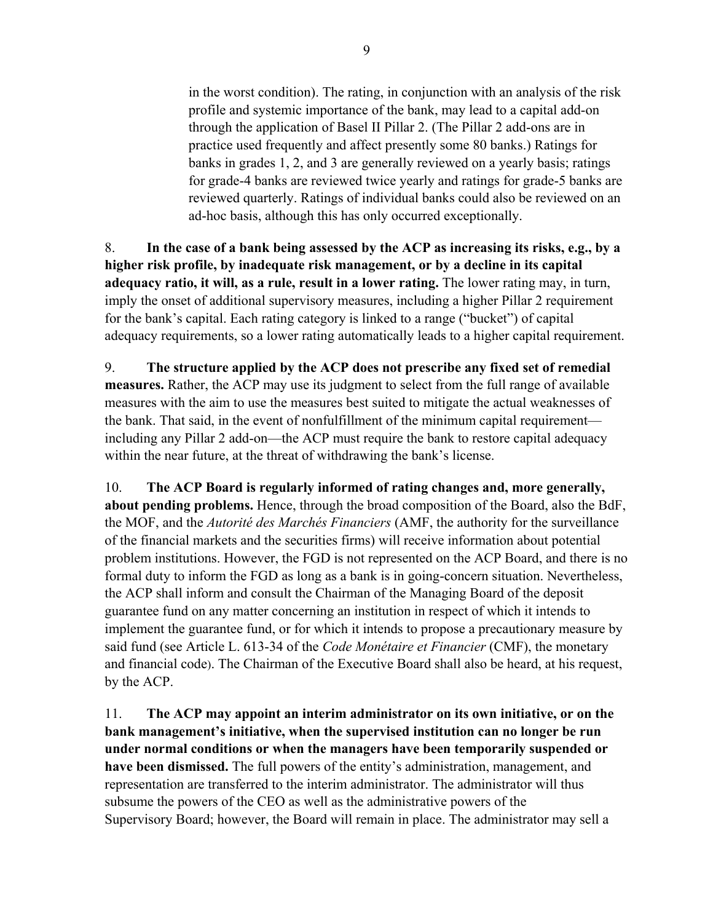in the worst condition). The rating, in conjunction with an analysis of the risk profile and systemic importance of the bank, may lead to a capital add-on through the application of Basel II Pillar 2. (The Pillar 2 add-ons are in practice used frequently and affect presently some 80 banks.) Ratings for banks in grades 1, 2, and 3 are generally reviewed on a yearly basis; ratings for grade-4 banks are reviewed twice yearly and ratings for grade-5 banks are reviewed quarterly. Ratings of individual banks could also be reviewed on an ad-hoc basis, although this has only occurred exceptionally.

8. **In the case of a bank being assessed by the ACP as increasing its risks, e.g., by a higher risk profile, by inadequate risk management, or by a decline in its capital adequacy ratio, it will, as a rule, result in a lower rating.** The lower rating may, in turn, imply the onset of additional supervisory measures, including a higher Pillar 2 requirement for the bank's capital. Each rating category is linked to a range ("bucket") of capital adequacy requirements, so a lower rating automatically leads to a higher capital requirement.

9. **The structure applied by the ACP does not prescribe any fixed set of remedial measures.** Rather, the ACP may use its judgment to select from the full range of available measures with the aim to use the measures best suited to mitigate the actual weaknesses of the bank. That said, in the event of nonfulfillment of the minimum capital requirement including any Pillar 2 add-on—the ACP must require the bank to restore capital adequacy within the near future, at the threat of withdrawing the bank's license.

10. **The ACP Board is regularly informed of rating changes and, more generally, about pending problems.** Hence, through the broad composition of the Board, also the BdF, the MOF, and the *Autorité des Marchés Financiers* (AMF, the authority for the surveillance of the financial markets and the securities firms) will receive information about potential problem institutions. However, the FGD is not represented on the ACP Board, and there is no formal duty to inform the FGD as long as a bank is in going-concern situation. Nevertheless, the ACP shall inform and consult the Chairman of the Managing Board of the deposit guarantee fund on any matter concerning an institution in respect of which it intends to implement the guarantee fund, or for which it intends to propose a precautionary measure by said fund (see Article L. 613-34 of the *Code Monétaire et Financier* (CMF), the monetary and financial code). The Chairman of the Executive Board shall also be heard, at his request, by the ACP.

11. **The ACP may appoint an interim administrator on its own initiative, or on the bank management's initiative, when the supervised institution can no longer be run under normal conditions or when the managers have been temporarily suspended or have been dismissed.** The full powers of the entity's administration, management, and representation are transferred to the interim administrator. The administrator will thus subsume the powers of the CEO as well as the administrative powers of the Supervisory Board; however, the Board will remain in place. The administrator may sell a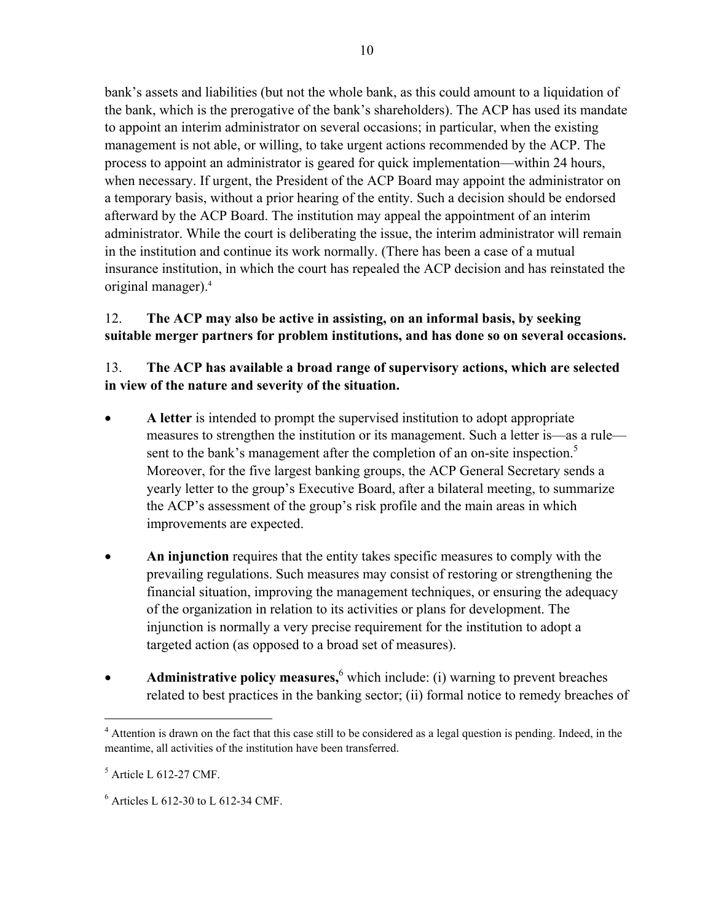bank's assets and liabilities (but not the whole bank, as this could amount to a liquidation of the bank, which is the prerogative of the bank's shareholders). The ACP has used its mandate to appoint an interim administrator on several occasions; in particular, when the existing management is not able, or willing, to take urgent actions recommended by the ACP. The process to appoint an administrator is geared for quick implementation—within 24 hours, when necessary. If urgent, the President of the ACP Board may appoint the administrator on a temporary basis, without a prior hearing of the entity. Such a decision should be endorsed afterward by the ACP Board. The institution may appeal the appointment of an interim administrator. While the court is deliberating the issue, the interim administrator will remain in the institution and continue its work normally. (There has been a case of a mutual insurance institution, in which the court has repealed the ACP decision and has reinstated the original manager).<sup>4</sup>

## 12. **The ACP may also be active in assisting, on an informal basis, by seeking suitable merger partners for problem institutions, and has done so on several occasions.**

#### 13. **The ACP has available a broad range of supervisory actions, which are selected in view of the nature and severity of the situation.**

- **A letter** is intended to prompt the supervised institution to adopt appropriate measures to strengthen the institution or its management. Such a letter is—as a rule sent to the bank's management after the completion of an on-site inspection.<sup>5</sup> Moreover, for the five largest banking groups, the ACP General Secretary sends a yearly letter to the group's Executive Board, after a bilateral meeting, to summarize the ACP's assessment of the group's risk profile and the main areas in which improvements are expected.
- **An injunction** requires that the entity takes specific measures to comply with the prevailing regulations. Such measures may consist of restoring or strengthening the financial situation, improving the management techniques, or ensuring the adequacy of the organization in relation to its activities or plans for development. The injunction is normally a very precise requirement for the institution to adopt a targeted action (as opposed to a broad set of measures).
- **Administrative policy measures,** <sup>6</sup> which include: (i) warning to prevent breaches related to best practices in the banking sector; (ii) formal notice to remedy breaches of

<sup>&</sup>lt;sup>4</sup> Attention is drawn on the fact that this case still to be considered as a legal question is pending. Indeed, in the meantime, all activities of the institution have been transferred.

 $<sup>5</sup>$  Article L 612-27 CMF.</sup>

<sup>6</sup> Articles L 612-30 to L 612-34 CMF.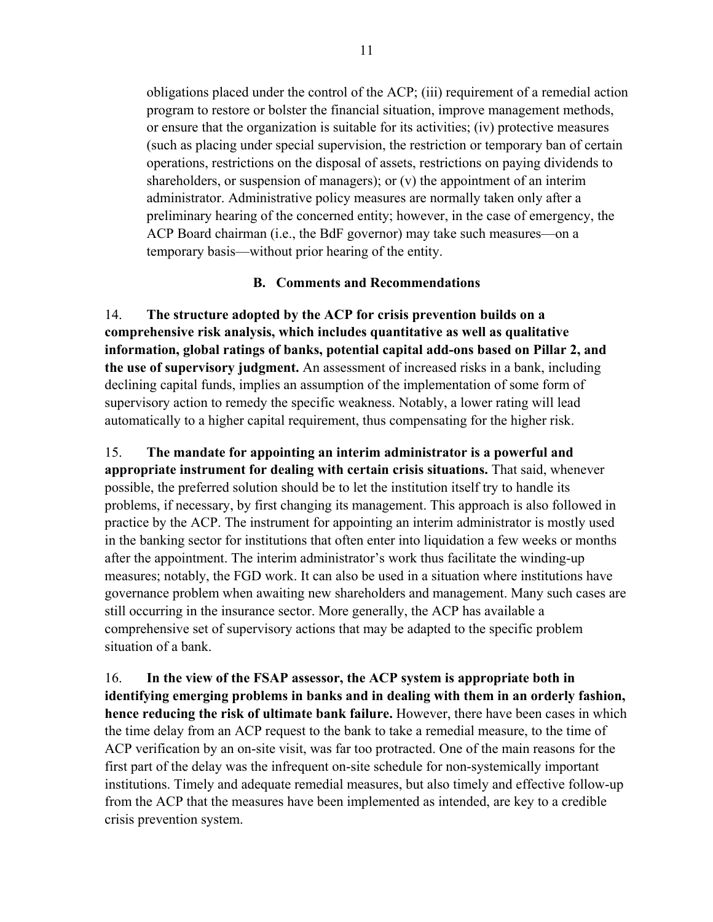obligations placed under the control of the ACP; (iii) requirement of a remedial action program to restore or bolster the financial situation, improve management methods, or ensure that the organization is suitable for its activities; (iv) protective measures (such as placing under special supervision, the restriction or temporary ban of certain operations, restrictions on the disposal of assets, restrictions on paying dividends to shareholders, or suspension of managers); or (v) the appointment of an interim administrator. Administrative policy measures are normally taken only after a preliminary hearing of the concerned entity; however, in the case of emergency, the ACP Board chairman (i.e., the BdF governor) may take such measures—on a temporary basis—without prior hearing of the entity.

#### **B. Comments and Recommendations**

14. **The structure adopted by the ACP for crisis prevention builds on a comprehensive risk analysis, which includes quantitative as well as qualitative information, global ratings of banks, potential capital add-ons based on Pillar 2, and the use of supervisory judgment.** An assessment of increased risks in a bank, including declining capital funds, implies an assumption of the implementation of some form of supervisory action to remedy the specific weakness. Notably, a lower rating will lead automatically to a higher capital requirement, thus compensating for the higher risk.

15. **The mandate for appointing an interim administrator is a powerful and appropriate instrument for dealing with certain crisis situations.** That said, whenever possible, the preferred solution should be to let the institution itself try to handle its problems, if necessary, by first changing its management. This approach is also followed in practice by the ACP. The instrument for appointing an interim administrator is mostly used in the banking sector for institutions that often enter into liquidation a few weeks or months after the appointment. The interim administrator's work thus facilitate the winding-up measures; notably, the FGD work. It can also be used in a situation where institutions have governance problem when awaiting new shareholders and management. Many such cases are still occurring in the insurance sector. More generally, the ACP has available a comprehensive set of supervisory actions that may be adapted to the specific problem situation of a bank.

16. **In the view of the FSAP assessor, the ACP system is appropriate both in identifying emerging problems in banks and in dealing with them in an orderly fashion, hence reducing the risk of ultimate bank failure.** However, there have been cases in which the time delay from an ACP request to the bank to take a remedial measure, to the time of ACP verification by an on-site visit, was far too protracted. One of the main reasons for the first part of the delay was the infrequent on-site schedule for non-systemically important institutions. Timely and adequate remedial measures, but also timely and effective follow-up from the ACP that the measures have been implemented as intended, are key to a credible crisis prevention system.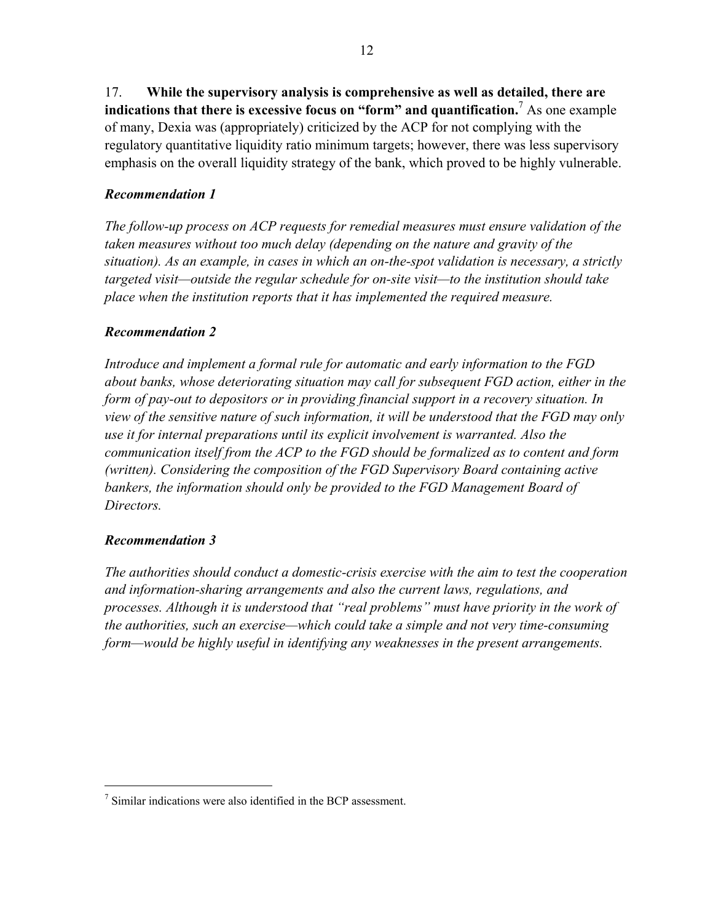17. **While the supervisory analysis is comprehensive as well as detailed, there are**  indications that there is excessive focus on "form" and quantification.<sup>7</sup> As one example of many, Dexia was (appropriately) criticized by the ACP for not complying with the regulatory quantitative liquidity ratio minimum targets; however, there was less supervisory emphasis on the overall liquidity strategy of the bank, which proved to be highly vulnerable.

## *Recommendation 1*

*The follow-up process on ACP requests for remedial measures must ensure validation of the taken measures without too much delay (depending on the nature and gravity of the situation). As an example, in cases in which an on-the-spot validation is necessary, a strictly targeted visit—outside the regular schedule for on-site visit—to the institution should take place when the institution reports that it has implemented the required measure.* 

## *Recommendation 2*

*Introduce and implement a formal rule for automatic and early information to the FGD about banks, whose deteriorating situation may call for subsequent FGD action, either in the form of pay-out to depositors or in providing financial support in a recovery situation. In view of the sensitive nature of such information, it will be understood that the FGD may only use it for internal preparations until its explicit involvement is warranted. Also the communication itself from the ACP to the FGD should be formalized as to content and form (written). Considering the composition of the FGD Supervisory Board containing active bankers, the information should only be provided to the FGD Management Board of Directors.* 

#### *Recommendation 3*

 $\overline{a}$ 

*The authorities should conduct a domestic-crisis exercise with the aim to test the cooperation and information-sharing arrangements and also the current laws, regulations, and processes. Although it is understood that "real problems" must have priority in the work of the authorities, such an exercise—which could take a simple and not very time-consuming form—would be highly useful in identifying any weaknesses in the present arrangements.* 

<sup>7</sup> Similar indications were also identified in the BCP assessment.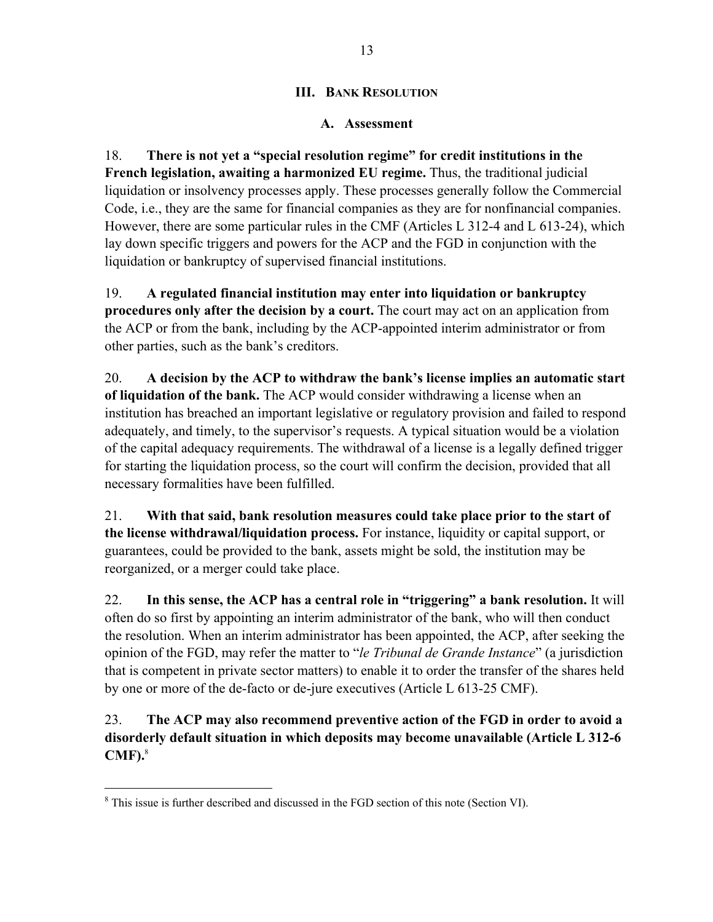## **III. BANK RESOLUTION**

## **A. Assessment**

18. **There is not yet a "special resolution regime" for credit institutions in the French legislation, awaiting a harmonized EU regime.** Thus, the traditional judicial liquidation or insolvency processes apply. These processes generally follow the Commercial Code, i.e., they are the same for financial companies as they are for nonfinancial companies. However, there are some particular rules in the CMF (Articles L 312-4 and L 613-24), which lay down specific triggers and powers for the ACP and the FGD in conjunction with the liquidation or bankruptcy of supervised financial institutions.

19. **A regulated financial institution may enter into liquidation or bankruptcy procedures only after the decision by a court.** The court may act on an application from the ACP or from the bank, including by the ACP-appointed interim administrator or from other parties, such as the bank's creditors.

20. **A decision by the ACP to withdraw the bank's license implies an automatic start of liquidation of the bank.** The ACP would consider withdrawing a license when an institution has breached an important legislative or regulatory provision and failed to respond adequately, and timely, to the supervisor's requests. A typical situation would be a violation of the capital adequacy requirements. The withdrawal of a license is a legally defined trigger for starting the liquidation process, so the court will confirm the decision, provided that all necessary formalities have been fulfilled.

21. **With that said, bank resolution measures could take place prior to the start of the license withdrawal/liquidation process.** For instance, liquidity or capital support, or guarantees, could be provided to the bank, assets might be sold, the institution may be reorganized, or a merger could take place.

22. **In this sense, the ACP has a central role in "triggering" a bank resolution.** It will often do so first by appointing an interim administrator of the bank, who will then conduct the resolution. When an interim administrator has been appointed, the ACP, after seeking the opinion of the FGD, may refer the matter to "*le Tribunal de Grande Instance*" (a jurisdiction that is competent in private sector matters) to enable it to order the transfer of the shares held by one or more of the de-facto or de-jure executives (Article L 613-25 CMF).

23. **The ACP may also recommend preventive action of the FGD in order to avoid a disorderly default situation in which deposits may become unavailable (Article L 312-6 CMF).**<sup>8</sup>

<sup>&</sup>lt;sup>8</sup> This issue is further described and discussed in the FGD section of this note (Section VI).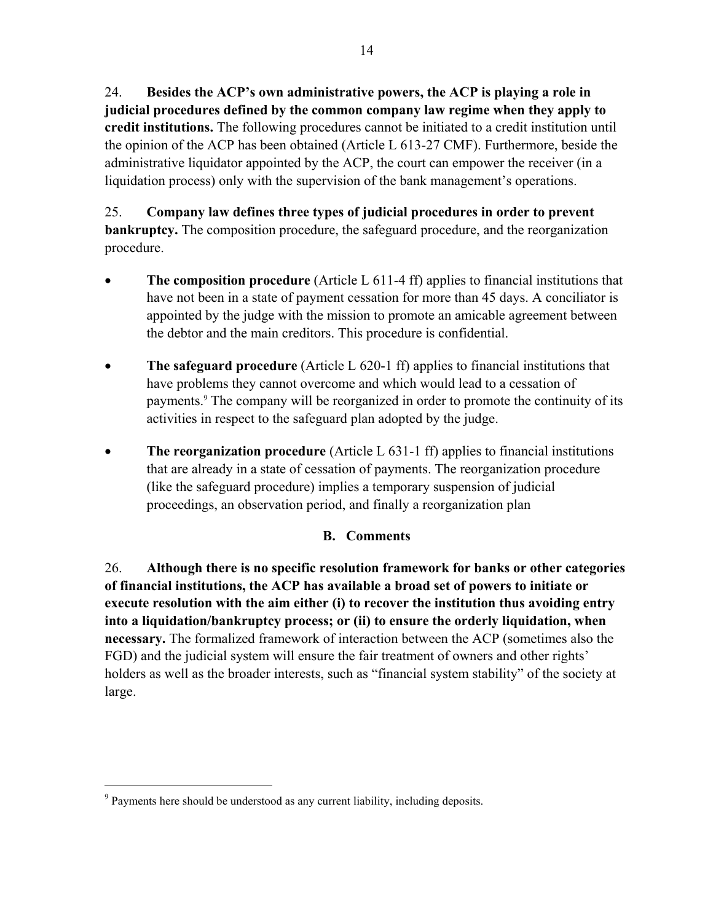24. **Besides the ACP's own administrative powers, the ACP is playing a role in judicial procedures defined by the common company law regime when they apply to credit institutions.** The following procedures cannot be initiated to a credit institution until the opinion of the ACP has been obtained (Article L 613-27 CMF). Furthermore, beside the administrative liquidator appointed by the ACP, the court can empower the receiver (in a liquidation process) only with the supervision of the bank management's operations.

25. **Company law defines three types of judicial procedures in order to prevent bankruptcy.** The composition procedure, the safeguard procedure, and the reorganization procedure.

- The composition procedure (Article L 611-4 ff) applies to financial institutions that have not been in a state of payment cessation for more than 45 days. A conciliator is appointed by the judge with the mission to promote an amicable agreement between the debtor and the main creditors. This procedure is confidential.
- **The safeguard procedure** (Article L 620-1 ff) applies to financial institutions that have problems they cannot overcome and which would lead to a cessation of payments.<sup>9</sup> The company will be reorganized in order to promote the continuity of its activities in respect to the safeguard plan adopted by the judge.
- **The reorganization procedure** (Article L 631-1 ff) applies to financial institutions that are already in a state of cessation of payments. The reorganization procedure (like the safeguard procedure) implies a temporary suspension of judicial proceedings, an observation period, and finally a reorganization plan

## **B. Comments**

26. **Although there is no specific resolution framework for banks or other categories of financial institutions, the ACP has available a broad set of powers to initiate or execute resolution with the aim either (i) to recover the institution thus avoiding entry into a liquidation/bankruptcy process; or (ii) to ensure the orderly liquidation, when necessary.** The formalized framework of interaction between the ACP (sometimes also the FGD) and the judicial system will ensure the fair treatment of owners and other rights' holders as well as the broader interests, such as "financial system stability" of the society at large.

<sup>&</sup>lt;sup>9</sup> Payments here should be understood as any current liability, including deposits.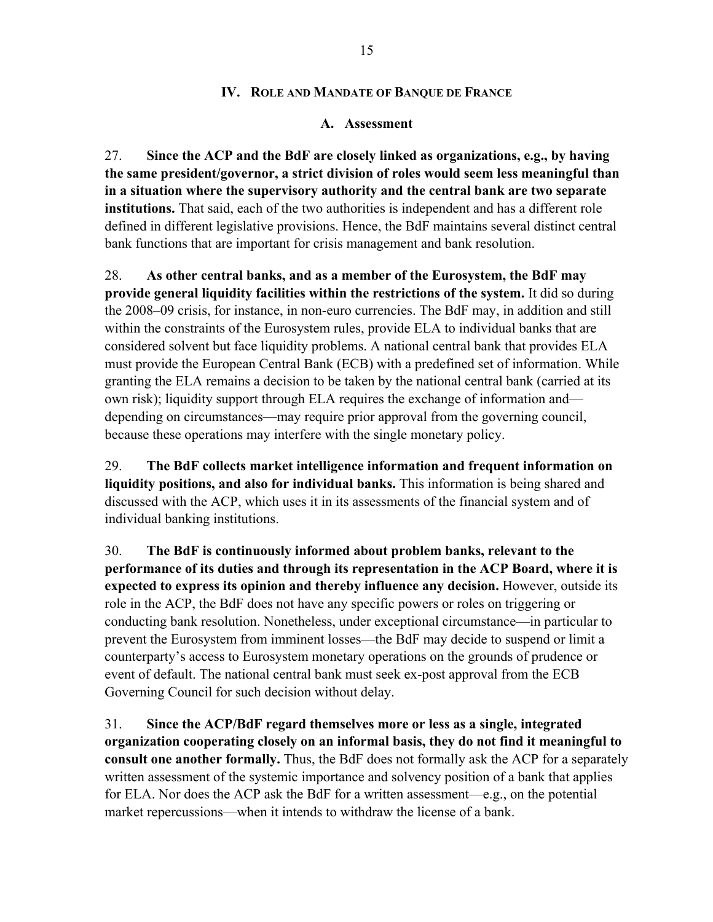#### **IV. ROLE AND MANDATE OF BANQUE DE FRANCE**

#### **A. Assessment**

27. **Since the ACP and the BdF are closely linked as organizations, e.g., by having the same president/governor, a strict division of roles would seem less meaningful than in a situation where the supervisory authority and the central bank are two separate institutions.** That said, each of the two authorities is independent and has a different role defined in different legislative provisions. Hence, the BdF maintains several distinct central bank functions that are important for crisis management and bank resolution.

28. **As other central banks, and as a member of the Eurosystem, the BdF may provide general liquidity facilities within the restrictions of the system.** It did so during the 2008–09 crisis, for instance, in non-euro currencies. The BdF may, in addition and still within the constraints of the Eurosystem rules, provide ELA to individual banks that are considered solvent but face liquidity problems. A national central bank that provides ELA must provide the European Central Bank (ECB) with a predefined set of information. While granting the ELA remains a decision to be taken by the national central bank (carried at its own risk); liquidity support through ELA requires the exchange of information and depending on circumstances—may require prior approval from the governing council, because these operations may interfere with the single monetary policy.

29. **The BdF collects market intelligence information and frequent information on liquidity positions, and also for individual banks.** This information is being shared and discussed with the ACP, which uses it in its assessments of the financial system and of individual banking institutions.

30. **The BdF is continuously informed about problem banks, relevant to the performance of its duties and through its representation in the ACP Board, where it is expected to express its opinion and thereby influence any decision.** However, outside its role in the ACP, the BdF does not have any specific powers or roles on triggering or conducting bank resolution. Nonetheless, under exceptional circumstance—in particular to prevent the Eurosystem from imminent losses—the BdF may decide to suspend or limit a counterparty's access to Eurosystem monetary operations on the grounds of prudence or event of default. The national central bank must seek ex-post approval from the ECB Governing Council for such decision without delay.

31. **Since the ACP/BdF regard themselves more or less as a single, integrated organization cooperating closely on an informal basis, they do not find it meaningful to consult one another formally.** Thus, the BdF does not formally ask the ACP for a separately written assessment of the systemic importance and solvency position of a bank that applies for ELA. Nor does the ACP ask the BdF for a written assessment—e.g., on the potential market repercussions—when it intends to withdraw the license of a bank.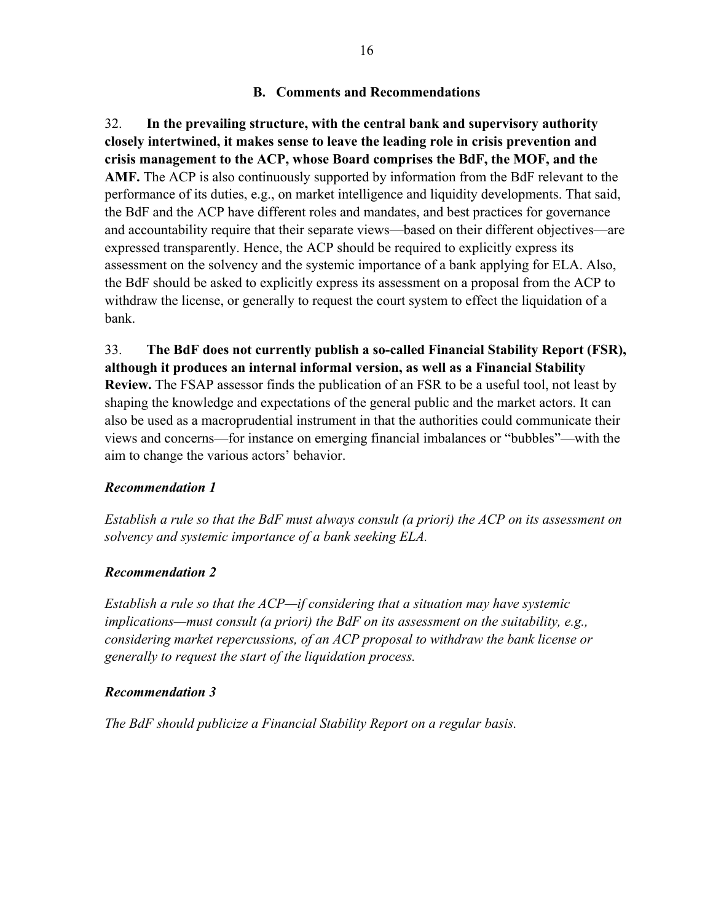#### **B. Comments and Recommendations**

32. **In the prevailing structure, with the central bank and supervisory authority closely intertwined, it makes sense to leave the leading role in crisis prevention and crisis management to the ACP, whose Board comprises the BdF, the MOF, and the AMF.** The ACP is also continuously supported by information from the BdF relevant to the performance of its duties, e.g., on market intelligence and liquidity developments. That said, the BdF and the ACP have different roles and mandates, and best practices for governance and accountability require that their separate views—based on their different objectives—are expressed transparently. Hence, the ACP should be required to explicitly express its assessment on the solvency and the systemic importance of a bank applying for ELA. Also, the BdF should be asked to explicitly express its assessment on a proposal from the ACP to withdraw the license, or generally to request the court system to effect the liquidation of a bank.

33. **The BdF does not currently publish a so-called Financial Stability Report (FSR), although it produces an internal informal version, as well as a Financial Stability Review.** The FSAP assessor finds the publication of an FSR to be a useful tool, not least by shaping the knowledge and expectations of the general public and the market actors. It can also be used as a macroprudential instrument in that the authorities could communicate their views and concerns—for instance on emerging financial imbalances or "bubbles"—with the aim to change the various actors' behavior.

#### *Recommendation 1*

*Establish a rule so that the BdF must always consult (a priori) the ACP on its assessment on solvency and systemic importance of a bank seeking ELA.* 

#### *Recommendation 2*

*Establish a rule so that the ACP—if considering that a situation may have systemic implications—must consult (a priori) the BdF on its assessment on the suitability, e.g., considering market repercussions, of an ACP proposal to withdraw the bank license or generally to request the start of the liquidation process.* 

#### *Recommendation 3*

*The BdF should publicize a Financial Stability Report on a regular basis.*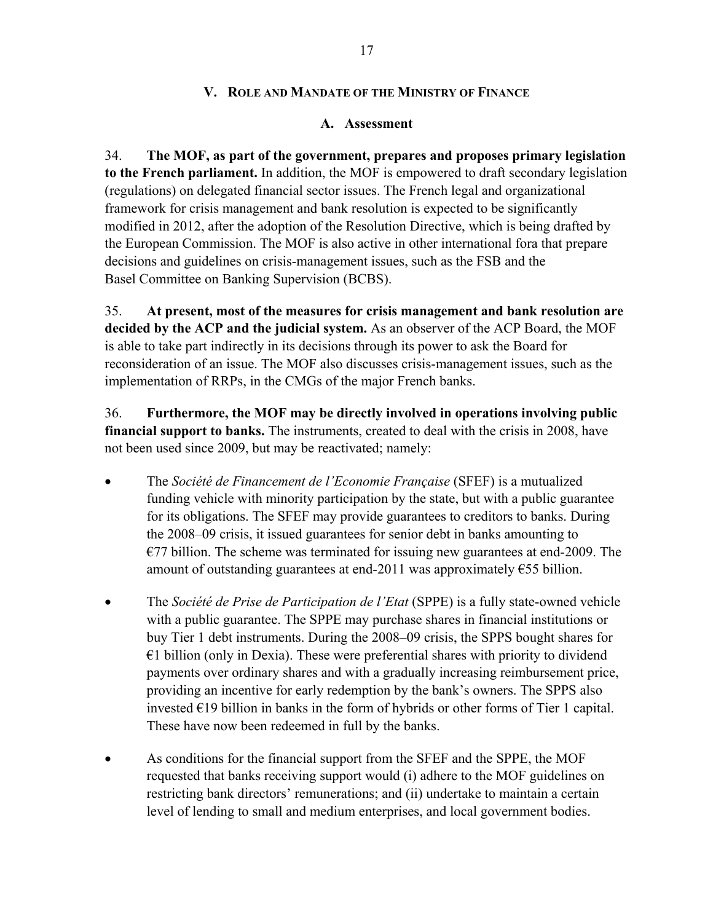#### **V. ROLE AND MANDATE OF THE MINISTRY OF FINANCE**

#### **A. Assessment**

34. **The MOF, as part of the government, prepares and proposes primary legislation to the French parliament.** In addition, the MOF is empowered to draft secondary legislation (regulations) on delegated financial sector issues. The French legal and organizational framework for crisis management and bank resolution is expected to be significantly modified in 2012, after the adoption of the Resolution Directive, which is being drafted by the European Commission. The MOF is also active in other international fora that prepare decisions and guidelines on crisis-management issues, such as the FSB and the Basel Committee on Banking Supervision (BCBS).

35. **At present, most of the measures for crisis management and bank resolution are decided by the ACP and the judicial system.** As an observer of the ACP Board, the MOF is able to take part indirectly in its decisions through its power to ask the Board for reconsideration of an issue. The MOF also discusses crisis-management issues, such as the implementation of RRPs, in the CMGs of the major French banks.

36. **Furthermore, the MOF may be directly involved in operations involving public financial support to banks.** The instruments, created to deal with the crisis in 2008, have not been used since 2009, but may be reactivated; namely:

- The *Société de Financement de l'Economie Française* (SFEF) is a mutualized funding vehicle with minority participation by the state, but with a public guarantee for its obligations. The SFEF may provide guarantees to creditors to banks. During the 2008–09 crisis, it issued guarantees for senior debt in banks amounting to  $E$ 77 billion. The scheme was terminated for issuing new guarantees at end-2009. The amount of outstanding guarantees at end-2011 was approximately  $\epsilon$ 55 billion.
- The *Société de Prise de Participation de l'Etat* (SPPE) is a fully state-owned vehicle with a public guarantee. The SPPE may purchase shares in financial institutions or buy Tier 1 debt instruments. During the 2008–09 crisis, the SPPS bought shares for  $€1$  billion (only in Dexia). These were preferential shares with priority to dividend payments over ordinary shares and with a gradually increasing reimbursement price, providing an incentive for early redemption by the bank's owners. The SPPS also invested  $E19$  billion in banks in the form of hybrids or other forms of Tier 1 capital. These have now been redeemed in full by the banks.
- As conditions for the financial support from the SFEF and the SPPE, the MOF requested that banks receiving support would (i) adhere to the MOF guidelines on restricting bank directors' remunerations; and (ii) undertake to maintain a certain level of lending to small and medium enterprises, and local government bodies.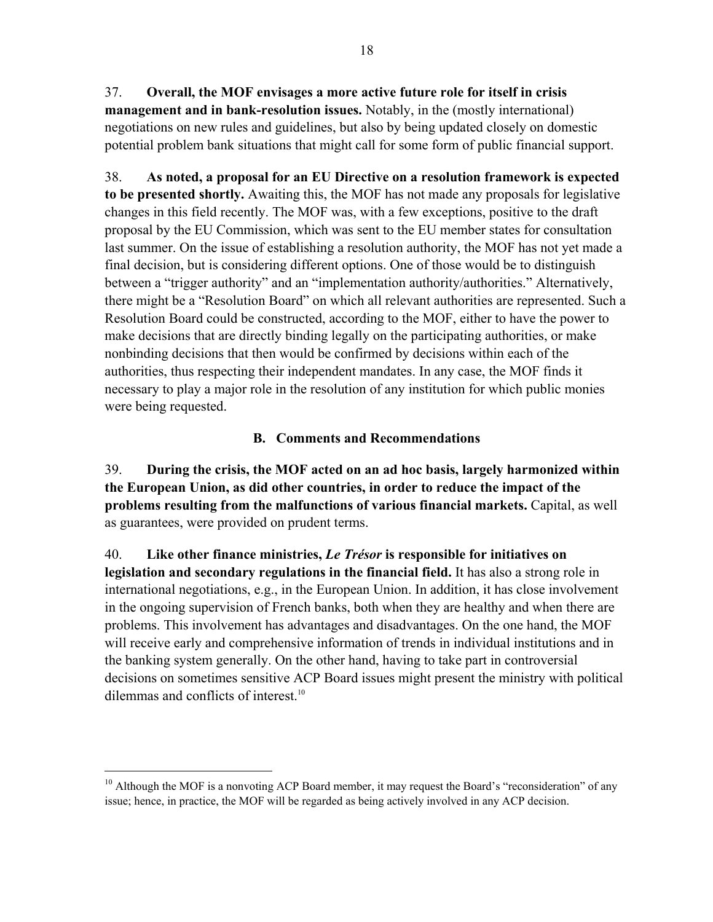37. **Overall, the MOF envisages a more active future role for itself in crisis management and in bank-resolution issues.** Notably, in the (mostly international) negotiations on new rules and guidelines, but also by being updated closely on domestic potential problem bank situations that might call for some form of public financial support.

38. **As noted, a proposal for an EU Directive on a resolution framework is expected to be presented shortly.** Awaiting this, the MOF has not made any proposals for legislative changes in this field recently. The MOF was, with a few exceptions, positive to the draft proposal by the EU Commission, which was sent to the EU member states for consultation last summer. On the issue of establishing a resolution authority, the MOF has not yet made a final decision, but is considering different options. One of those would be to distinguish between a "trigger authority" and an "implementation authority/authorities." Alternatively, there might be a "Resolution Board" on which all relevant authorities are represented. Such a Resolution Board could be constructed, according to the MOF, either to have the power to make decisions that are directly binding legally on the participating authorities, or make nonbinding decisions that then would be confirmed by decisions within each of the authorities, thus respecting their independent mandates. In any case, the MOF finds it necessary to play a major role in the resolution of any institution for which public monies were being requested.

## **B. Comments and Recommendations**

39. **During the crisis, the MOF acted on an ad hoc basis, largely harmonized within the European Union, as did other countries, in order to reduce the impact of the problems resulting from the malfunctions of various financial markets.** Capital, as well as guarantees, were provided on prudent terms.

40. **Like other finance ministries,** *Le Trésor* **is responsible for initiatives on legislation and secondary regulations in the financial field.** It has also a strong role in international negotiations, e.g., in the European Union. In addition, it has close involvement in the ongoing supervision of French banks, both when they are healthy and when there are problems. This involvement has advantages and disadvantages. On the one hand, the MOF will receive early and comprehensive information of trends in individual institutions and in the banking system generally. On the other hand, having to take part in controversial decisions on sometimes sensitive ACP Board issues might present the ministry with political dilemmas and conflicts of interest.<sup>10</sup>

 $10$  Although the MOF is a nonvoting ACP Board member, it may request the Board's "reconsideration" of any issue; hence, in practice, the MOF will be regarded as being actively involved in any ACP decision.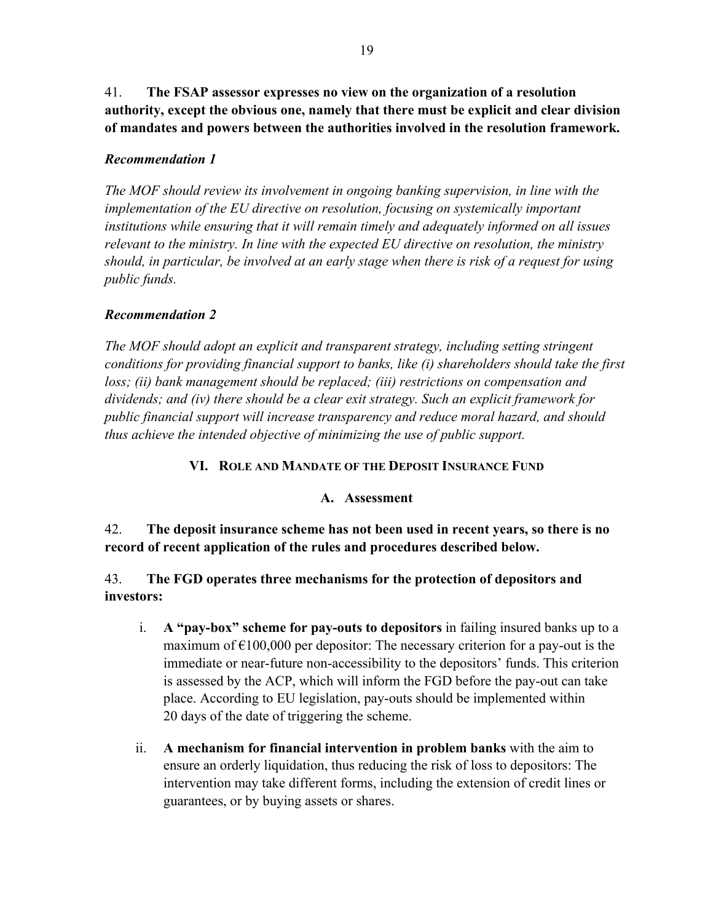41. **The FSAP assessor expresses no view on the organization of a resolution authority, except the obvious one, namely that there must be explicit and clear division of mandates and powers between the authorities involved in the resolution framework.** 

#### *Recommendation 1*

*The MOF should review its involvement in ongoing banking supervision, in line with the implementation of the EU directive on resolution, focusing on systemically important institutions while ensuring that it will remain timely and adequately informed on all issues relevant to the ministry. In line with the expected EU directive on resolution, the ministry should, in particular, be involved at an early stage when there is risk of a request for using public funds.* 

#### *Recommendation 2*

*The MOF should adopt an explicit and transparent strategy, including setting stringent conditions for providing financial support to banks, like (i) shareholders should take the first*  loss; (ii) bank management should be replaced; (iii) restrictions on compensation and *dividends; and (iv) there should be a clear exit strategy. Such an explicit framework for public financial support will increase transparency and reduce moral hazard, and should thus achieve the intended objective of minimizing the use of public support.*

#### **VI. ROLE AND MANDATE OF THE DEPOSIT INSURANCE FUND**

#### **A. Assessment**

42. **The deposit insurance scheme has not been used in recent years, so there is no record of recent application of the rules and procedures described below.**

43. **The FGD operates three mechanisms for the protection of depositors and investors:**

- i. **A "pay-box" scheme for pay-outs to depositors** in failing insured banks up to a maximum of  $\epsilon$ 100,000 per depositor: The necessary criterion for a pay-out is the immediate or near-future non-accessibility to the depositors' funds. This criterion is assessed by the ACP, which will inform the FGD before the pay-out can take place. According to EU legislation, pay-outs should be implemented within 20 days of the date of triggering the scheme.
- ii. **A mechanism for financial intervention in problem banks** with the aim to ensure an orderly liquidation, thus reducing the risk of loss to depositors: The intervention may take different forms, including the extension of credit lines or guarantees, or by buying assets or shares.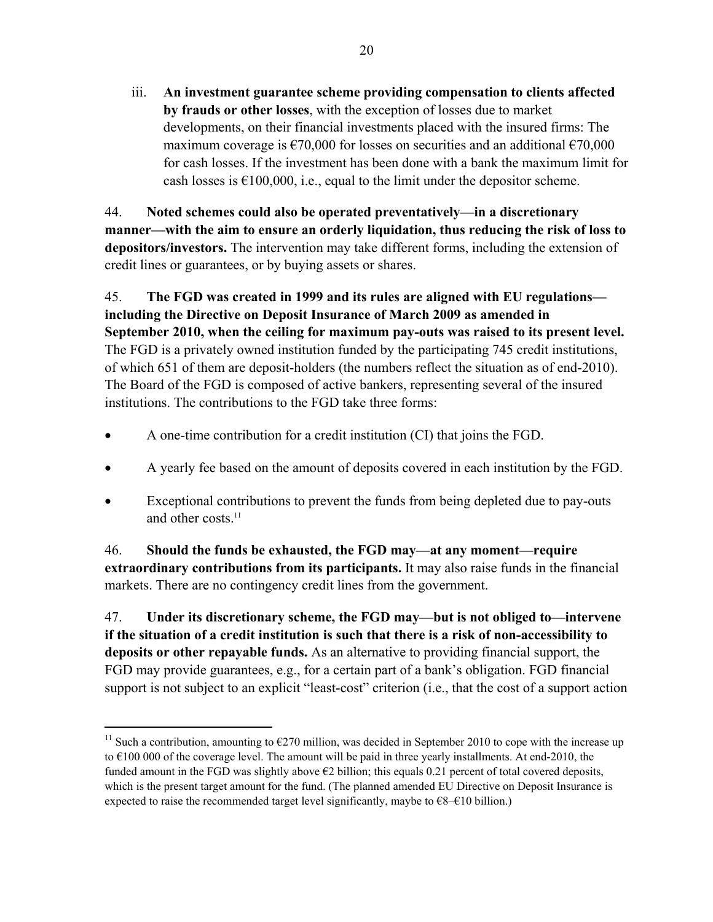iii. **An investment guarantee scheme providing compensation to clients affected by frauds or other losses**, with the exception of losses due to market developments, on their financial investments placed with the insured firms: The maximum coverage is  $\epsilon$ 70,000 for losses on securities and an additional  $\epsilon$ 70,000 for cash losses. If the investment has been done with a bank the maximum limit for cash losses is  $\epsilon$ 100,000, i.e., equal to the limit under the depositor scheme.

44. **Noted schemes could also be operated preventatively—in a discretionary manner—with the aim to ensure an orderly liquidation, thus reducing the risk of loss to depositors/investors.** The intervention may take different forms, including the extension of credit lines or guarantees, or by buying assets or shares.

45. **The FGD was created in 1999 and its rules are aligned with EU regulations including the Directive on Deposit Insurance of March 2009 as amended in September 2010, when the ceiling for maximum pay-outs was raised to its present level.** The FGD is a privately owned institution funded by the participating 745 credit institutions, of which 651 of them are deposit-holders (the numbers reflect the situation as of end-2010). The Board of the FGD is composed of active bankers, representing several of the insured institutions. The contributions to the FGD take three forms:

- A one-time contribution for a credit institution (CI) that joins the FGD.
- A yearly fee based on the amount of deposits covered in each institution by the FGD.
- Exceptional contributions to prevent the funds from being depleted due to pay-outs and other costs.<sup>11</sup>

46. **Should the funds be exhausted, the FGD may—at any moment—require extraordinary contributions from its participants.** It may also raise funds in the financial markets. There are no contingency credit lines from the government.

47. **Under its discretionary scheme, the FGD may—but is not obliged to—intervene if the situation of a credit institution is such that there is a risk of non-accessibility to deposits or other repayable funds.** As an alternative to providing financial support, the FGD may provide guarantees, e.g., for a certain part of a bank's obligation. FGD financial support is not subject to an explicit "least-cost" criterion (i.e., that the cost of a support action

<sup>&</sup>lt;sup>11</sup> Such a contribution, amounting to  $\epsilon$ 270 million, was decided in September 2010 to cope with the increase up to  $\epsilon$ 100 000 of the coverage level. The amount will be paid in three yearly installments. At end-2010, the funded amount in the FGD was slightly above  $\epsilon$ 2 billion; this equals 0.21 percent of total covered deposits, which is the present target amount for the fund. (The planned amended EU Directive on Deposit Insurance is expected to raise the recommended target level significantly, maybe to  $\epsilon$ 8– $\epsilon$ 10 billion.)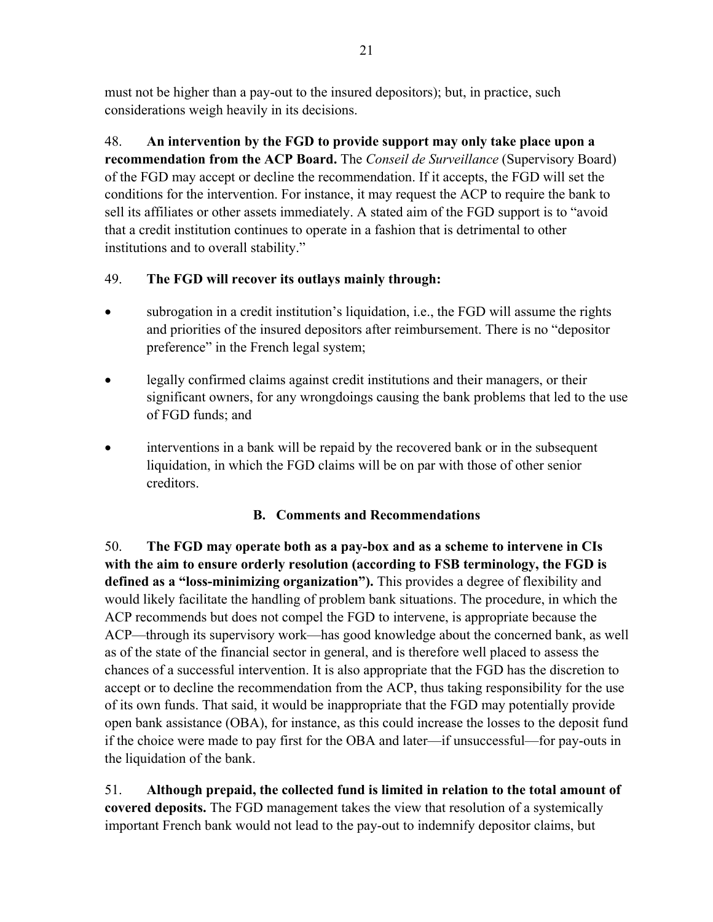must not be higher than a pay-out to the insured depositors); but, in practice, such considerations weigh heavily in its decisions.

48. **An intervention by the FGD to provide support may only take place upon a recommendation from the ACP Board.** The *Conseil de Surveillance* (Supervisory Board) of the FGD may accept or decline the recommendation. If it accepts, the FGD will set the conditions for the intervention. For instance, it may request the ACP to require the bank to sell its affiliates or other assets immediately. A stated aim of the FGD support is to "avoid that a credit institution continues to operate in a fashion that is detrimental to other institutions and to overall stability."

## 49. **The FGD will recover its outlays mainly through:**

- subrogation in a credit institution's liquidation, i.e., the FGD will assume the rights and priorities of the insured depositors after reimbursement. There is no "depositor preference" in the French legal system;
- legally confirmed claims against credit institutions and their managers, or their significant owners, for any wrongdoings causing the bank problems that led to the use of FGD funds; and
- interventions in a bank will be repaid by the recovered bank or in the subsequent liquidation, in which the FGD claims will be on par with those of other senior creditors.

## **B. Comments and Recommendations**

50. **The FGD may operate both as a pay-box and as a scheme to intervene in CIs with the aim to ensure orderly resolution (according to FSB terminology, the FGD is defined as a "loss-minimizing organization").** This provides a degree of flexibility and would likely facilitate the handling of problem bank situations. The procedure, in which the ACP recommends but does not compel the FGD to intervene, is appropriate because the ACP—through its supervisory work—has good knowledge about the concerned bank, as well as of the state of the financial sector in general, and is therefore well placed to assess the chances of a successful intervention. It is also appropriate that the FGD has the discretion to accept or to decline the recommendation from the ACP, thus taking responsibility for the use of its own funds. That said, it would be inappropriate that the FGD may potentially provide open bank assistance (OBA), for instance, as this could increase the losses to the deposit fund if the choice were made to pay first for the OBA and later—if unsuccessful—for pay-outs in the liquidation of the bank.

51. **Although prepaid, the collected fund is limited in relation to the total amount of covered deposits.** The FGD management takes the view that resolution of a systemically important French bank would not lead to the pay-out to indemnify depositor claims, but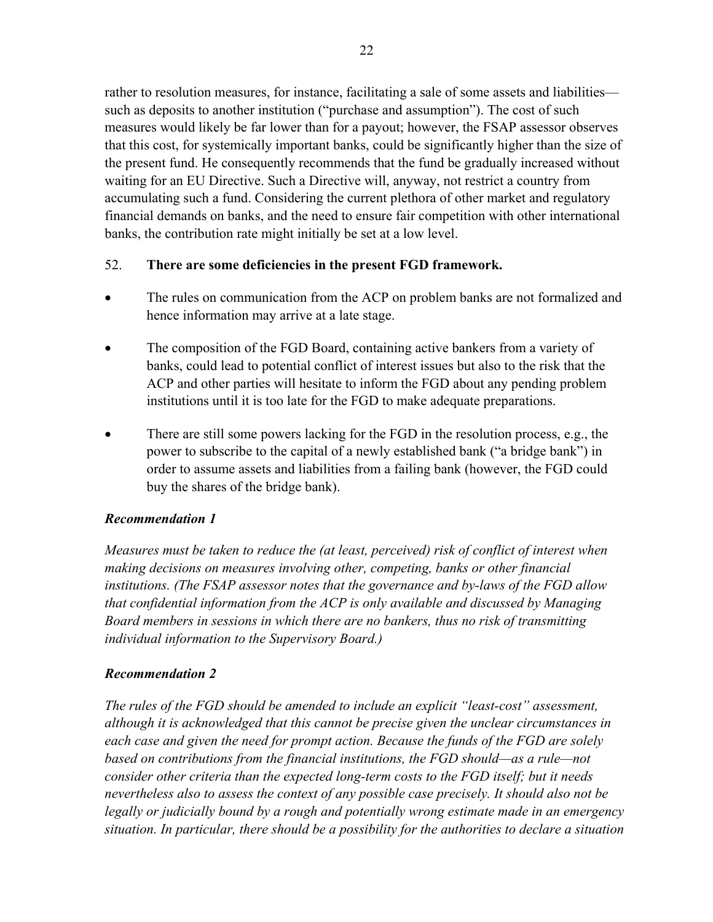rather to resolution measures, for instance, facilitating a sale of some assets and liabilities such as deposits to another institution ("purchase and assumption"). The cost of such measures would likely be far lower than for a payout; however, the FSAP assessor observes that this cost, for systemically important banks, could be significantly higher than the size of the present fund. He consequently recommends that the fund be gradually increased without waiting for an EU Directive. Such a Directive will, anyway, not restrict a country from accumulating such a fund. Considering the current plethora of other market and regulatory financial demands on banks, and the need to ensure fair competition with other international banks, the contribution rate might initially be set at a low level.

#### 52. **There are some deficiencies in the present FGD framework.**

- The rules on communication from the ACP on problem banks are not formalized and hence information may arrive at a late stage.
- The composition of the FGD Board, containing active bankers from a variety of banks, could lead to potential conflict of interest issues but also to the risk that the ACP and other parties will hesitate to inform the FGD about any pending problem institutions until it is too late for the FGD to make adequate preparations.
- There are still some powers lacking for the FGD in the resolution process, e.g., the power to subscribe to the capital of a newly established bank ("a bridge bank") in order to assume assets and liabilities from a failing bank (however, the FGD could buy the shares of the bridge bank).

## *Recommendation 1*

*Measures must be taken to reduce the (at least, perceived) risk of conflict of interest when making decisions on measures involving other, competing, banks or other financial institutions. (The FSAP assessor notes that the governance and by-laws of the FGD allow that confidential information from the ACP is only available and discussed by Managing Board members in sessions in which there are no bankers, thus no risk of transmitting individual information to the Supervisory Board.)* 

## *Recommendation 2*

*The rules of the FGD should be amended to include an explicit "least-cost" assessment, although it is acknowledged that this cannot be precise given the unclear circumstances in each case and given the need for prompt action. Because the funds of the FGD are solely based on contributions from the financial institutions, the FGD should—as a rule—not consider other criteria than the expected long-term costs to the FGD itself; but it needs nevertheless also to assess the context of any possible case precisely. It should also not be legally or judicially bound by a rough and potentially wrong estimate made in an emergency situation. In particular, there should be a possibility for the authorities to declare a situation*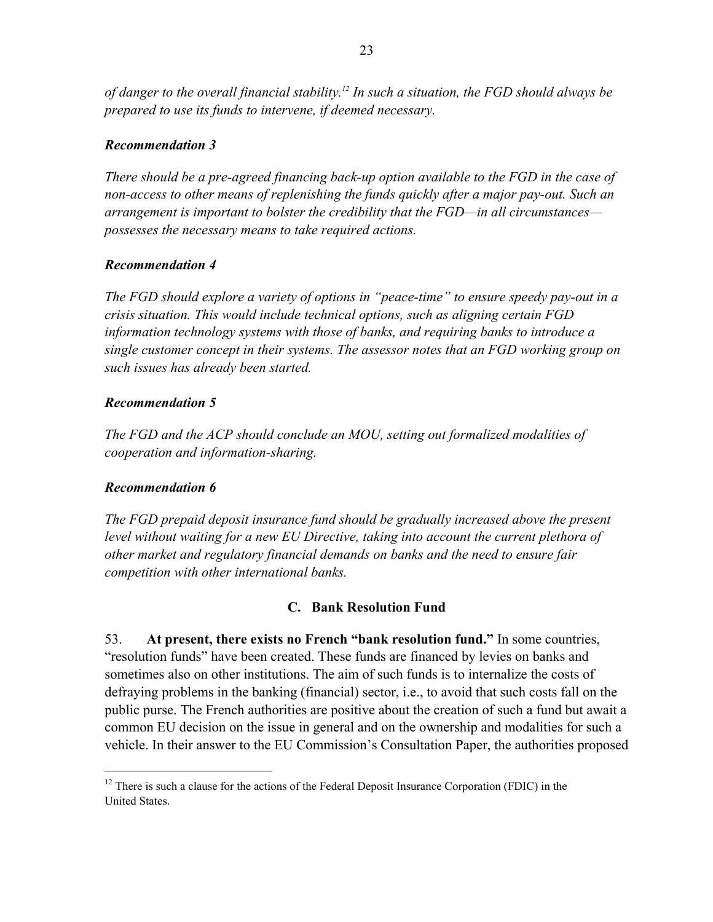*of danger to the overall financial stability.12 In such a situation, the FGD should always be prepared to use its funds to intervene, if deemed necessary.*

#### *Recommendation 3*

*There should be a pre-agreed financing back-up option available to the FGD in the case of non-access to other means of replenishing the funds quickly after a major pay-out. Such an arrangement is important to bolster the credibility that the FGD—in all circumstances possesses the necessary means to take required actions.* 

## *Recommendation 4*

*The FGD should explore a variety of options in "peace-time" to ensure speedy pay-out in a crisis situation. This would include technical options, such as aligning certain FGD information technology systems with those of banks, and requiring banks to introduce a single customer concept in their systems. The assessor notes that an FGD working group on such issues has already been started.* 

## *Recommendation 5*

*The FGD and the ACP should conclude an MOU, setting out formalized modalities of cooperation and information-sharing.* 

## *Recommendation 6*

 $\overline{a}$ 

*The FGD prepaid deposit insurance fund should be gradually increased above the present*  level without waiting for a new EU Directive, taking into account the current plethora of *other market and regulatory financial demands on banks and the need to ensure fair competition with other international banks.* 

## **C. Bank Resolution Fund**

53. **At present, there exists no French "bank resolution fund."** In some countries, "resolution funds" have been created. These funds are financed by levies on banks and sometimes also on other institutions. The aim of such funds is to internalize the costs of defraying problems in the banking (financial) sector, i.e., to avoid that such costs fall on the public purse. The French authorities are positive about the creation of such a fund but await a common EU decision on the issue in general and on the ownership and modalities for such a vehicle. In their answer to the EU Commission's Consultation Paper, the authorities proposed

 $12$  There is such a clause for the actions of the Federal Deposit Insurance Corporation (FDIC) in the United States.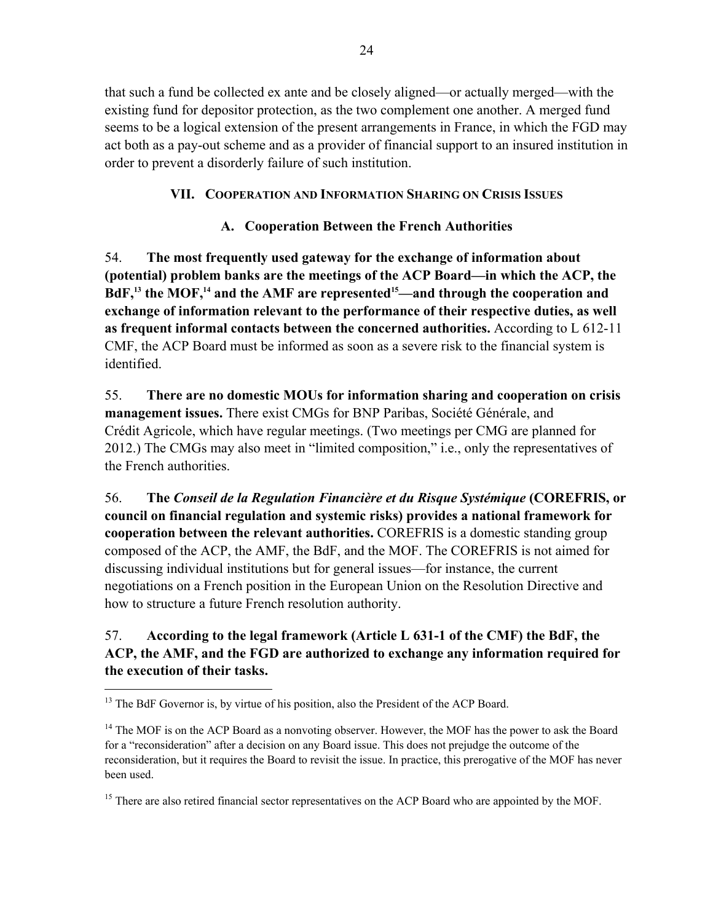that such a fund be collected ex ante and be closely aligned—or actually merged—with the existing fund for depositor protection, as the two complement one another. A merged fund seems to be a logical extension of the present arrangements in France, in which the FGD may act both as a pay-out scheme and as a provider of financial support to an insured institution in order to prevent a disorderly failure of such institution.

## **VII. COOPERATION AND INFORMATION SHARING ON CRISIS ISSUES**

## **A. Cooperation Between the French Authorities**

54. **The most frequently used gateway for the exchange of information about (potential) problem banks are the meetings of the ACP Board—in which the ACP, the**  BdF,<sup>13</sup> the MOF,<sup>14</sup> and the AMF are represented<sup>15</sup>—and through the cooperation and **exchange of information relevant to the performance of their respective duties, as well as frequent informal contacts between the concerned authorities.** According to L 612-11 CMF, the ACP Board must be informed as soon as a severe risk to the financial system is identified.

55. **There are no domestic MOUs for information sharing and cooperation on crisis management issues.** There exist CMGs for BNP Paribas, Société Générale, and Crédit Agricole, which have regular meetings. (Two meetings per CMG are planned for 2012.) The CMGs may also meet in "limited composition," i.e., only the representatives of the French authorities.

56. **The** *Conseil de la Regulation Financière et du Risque Systémique* **(COREFRIS, or council on financial regulation and systemic risks) provides a national framework for cooperation between the relevant authorities.** COREFRIS is a domestic standing group composed of the ACP, the AMF, the BdF, and the MOF. The COREFRIS is not aimed for discussing individual institutions but for general issues—for instance, the current negotiations on a French position in the European Union on the Resolution Directive and how to structure a future French resolution authority.

## 57. **According to the legal framework (Article L 631-1 of the CMF) the BdF, the ACP, the AMF, and the FGD are authorized to exchange any information required for the execution of their tasks.**

<sup>&</sup>lt;sup>13</sup> The BdF Governor is, by virtue of his position, also the President of the ACP Board.

<sup>&</sup>lt;sup>14</sup> The MOF is on the ACP Board as a nonvoting observer. However, the MOF has the power to ask the Board for a "reconsideration" after a decision on any Board issue. This does not prejudge the outcome of the reconsideration, but it requires the Board to revisit the issue. In practice, this prerogative of the MOF has never been used.

<sup>&</sup>lt;sup>15</sup> There are also retired financial sector representatives on the ACP Board who are appointed by the MOF.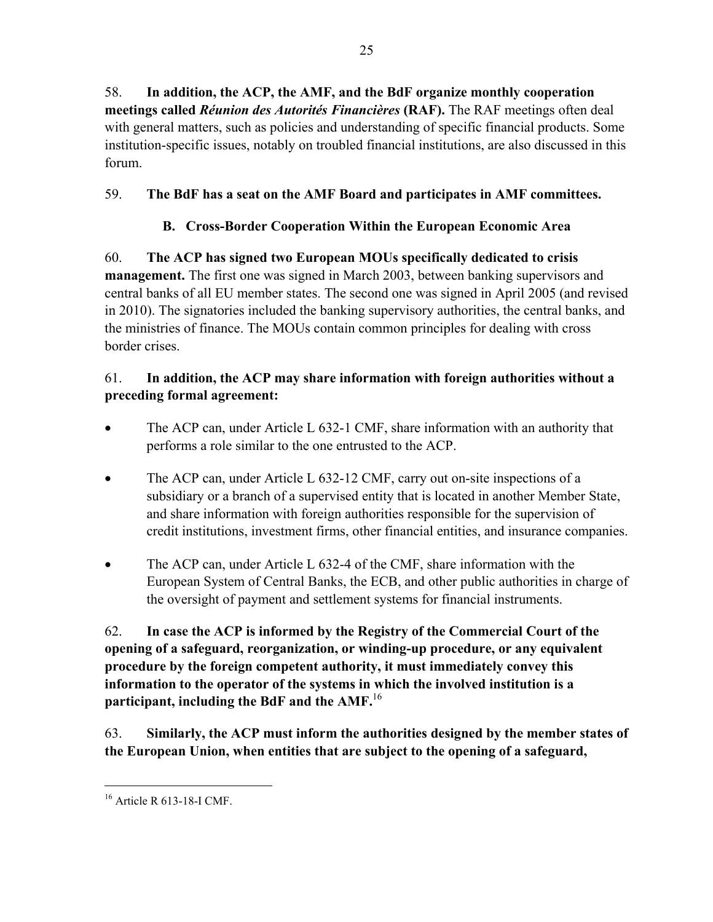58. **In addition, the ACP, the AMF, and the BdF organize monthly cooperation meetings called** *Réunion des Autorités Financières* **(RAF).** The RAF meetings often deal with general matters, such as policies and understanding of specific financial products. Some institution-specific issues, notably on troubled financial institutions, are also discussed in this forum.

## 59. **The BdF has a seat on the AMF Board and participates in AMF committees.**

## **B. Cross-Border Cooperation Within the European Economic Area**

60. **The ACP has signed two European MOUs specifically dedicated to crisis management.** The first one was signed in March 2003, between banking supervisors and central banks of all EU member states. The second one was signed in April 2005 (and revised in 2010). The signatories included the banking supervisory authorities, the central banks, and the ministries of finance. The MOUs contain common principles for dealing with cross border crises.

## 61. **In addition, the ACP may share information with foreign authorities without a preceding formal agreement:**

- The ACP can, under Article L 632-1 CMF, share information with an authority that performs a role similar to the one entrusted to the ACP.
- The ACP can, under Article L 632-12 CMF, carry out on-site inspections of a subsidiary or a branch of a supervised entity that is located in another Member State, and share information with foreign authorities responsible for the supervision of credit institutions, investment firms, other financial entities, and insurance companies.
- The ACP can, under Article L 632-4 of the CMF, share information with the European System of Central Banks, the ECB, and other public authorities in charge of the oversight of payment and settlement systems for financial instruments.

62. **In case the ACP is informed by the Registry of the Commercial Court of the opening of a safeguard, reorganization, or winding-up procedure, or any equivalent procedure by the foreign competent authority, it must immediately convey this information to the operator of the systems in which the involved institution is a participant, including the BdF and the AMF.**<sup>16</sup>

63. **Similarly, the ACP must inform the authorities designed by the member states of the European Union, when entities that are subject to the opening of a safeguard,** 

<sup>1</sup> 16 Article R 613-18-I CMF.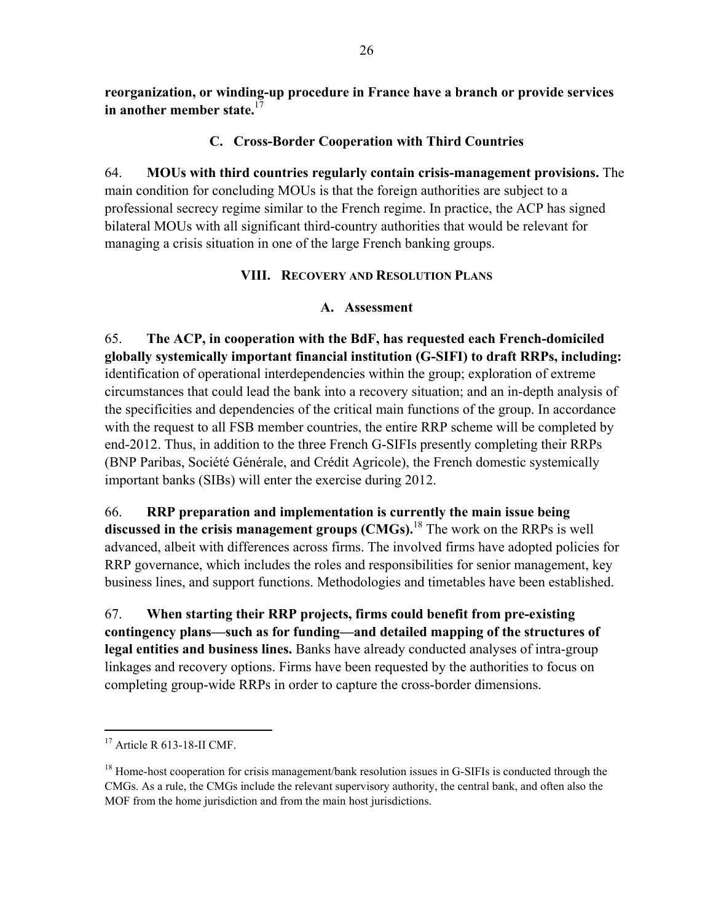**reorganization, or winding-up procedure in France have a branch or provide services in another member state.**<sup>17</sup>

## **C. Cross-Border Cooperation with Third Countries**

64. **MOUs with third countries regularly contain crisis-management provisions.** The main condition for concluding MOUs is that the foreign authorities are subject to a professional secrecy regime similar to the French regime. In practice, the ACP has signed bilateral MOUs with all significant third-country authorities that would be relevant for managing a crisis situation in one of the large French banking groups.

## **VIII. RECOVERY AND RESOLUTION PLANS**

## **A. Assessment**

65. **The ACP, in cooperation with the BdF, has requested each French-domiciled globally systemically important financial institution (G-SIFI) to draft RRPs, including:** identification of operational interdependencies within the group; exploration of extreme circumstances that could lead the bank into a recovery situation; and an in-depth analysis of the specificities and dependencies of the critical main functions of the group. In accordance with the request to all FSB member countries, the entire RRP scheme will be completed by end-2012. Thus, in addition to the three French G-SIFIs presently completing their RRPs (BNP Paribas, Société Générale, and Crédit Agricole), the French domestic systemically important banks (SIBs) will enter the exercise during 2012.

66. **RRP preparation and implementation is currently the main issue being discussed in the crisis management groups (CMGs).**18 The work on the RRPs is well advanced, albeit with differences across firms. The involved firms have adopted policies for RRP governance, which includes the roles and responsibilities for senior management, key business lines, and support functions. Methodologies and timetables have been established.

67. **When starting their RRP projects, firms could benefit from pre-existing contingency plans—such as for funding—and detailed mapping of the structures of legal entities and business lines.** Banks have already conducted analyses of intra-group linkages and recovery options. Firms have been requested by the authorities to focus on completing group-wide RRPs in order to capture the cross-border dimensions.

<sup>17</sup> Article R 613-18-II CMF.

 $18$  Home-host cooperation for crisis management/bank resolution issues in G-SIFIs is conducted through the CMGs. As a rule, the CMGs include the relevant supervisory authority, the central bank, and often also the MOF from the home jurisdiction and from the main host jurisdictions.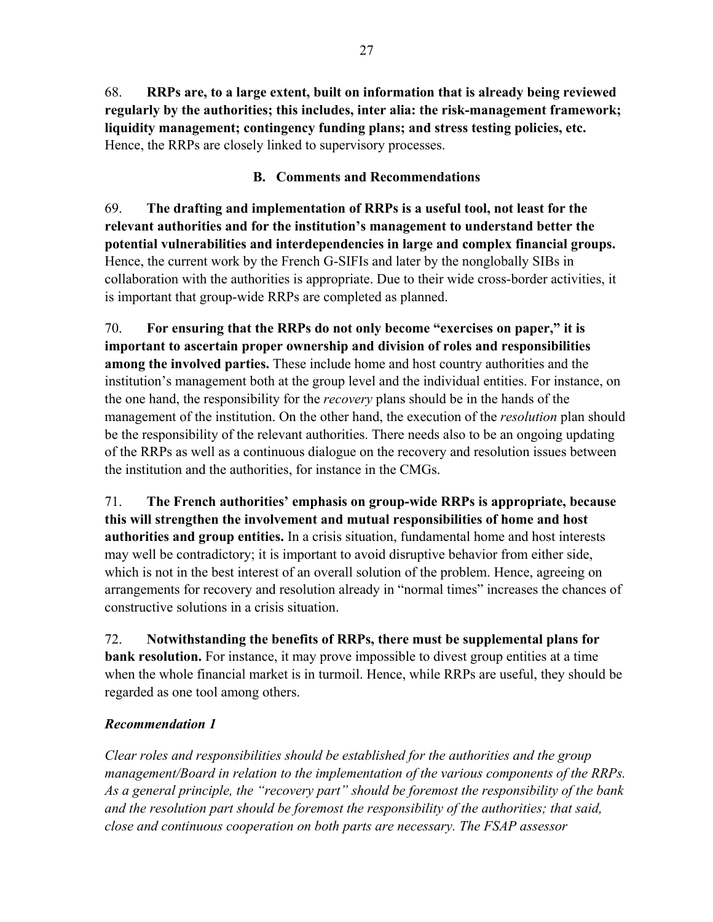68. **RRPs are, to a large extent, built on information that is already being reviewed regularly by the authorities; this includes, inter alia: the risk-management framework; liquidity management; contingency funding plans; and stress testing policies, etc.**  Hence, the RRPs are closely linked to supervisory processes.

## **B. Comments and Recommendations**

69. **The drafting and implementation of RRPs is a useful tool, not least for the relevant authorities and for the institution's management to understand better the potential vulnerabilities and interdependencies in large and complex financial groups.** Hence, the current work by the French G-SIFIs and later by the nonglobally SIBs in collaboration with the authorities is appropriate. Due to their wide cross-border activities, it is important that group-wide RRPs are completed as planned.

70. **For ensuring that the RRPs do not only become "exercises on paper," it is important to ascertain proper ownership and division of roles and responsibilities among the involved parties.** These include home and host country authorities and the institution's management both at the group level and the individual entities. For instance, on the one hand, the responsibility for the *recovery* plans should be in the hands of the management of the institution. On the other hand, the execution of the *resolution* plan should be the responsibility of the relevant authorities. There needs also to be an ongoing updating of the RRPs as well as a continuous dialogue on the recovery and resolution issues between the institution and the authorities, for instance in the CMGs.

71. **The French authorities' emphasis on group-wide RRPs is appropriate, because this will strengthen the involvement and mutual responsibilities of home and host authorities and group entities.** In a crisis situation, fundamental home and host interests may well be contradictory; it is important to avoid disruptive behavior from either side, which is not in the best interest of an overall solution of the problem. Hence, agreeing on arrangements for recovery and resolution already in "normal times" increases the chances of constructive solutions in a crisis situation.

72. **Notwithstanding the benefits of RRPs, there must be supplemental plans for bank resolution.** For instance, it may prove impossible to divest group entities at a time when the whole financial market is in turmoil. Hence, while RRPs are useful, they should be regarded as one tool among others.

## *Recommendation 1*

*Clear roles and responsibilities should be established for the authorities and the group management/Board in relation to the implementation of the various components of the RRPs. As a general principle, the "recovery part" should be foremost the responsibility of the bank and the resolution part should be foremost the responsibility of the authorities; that said, close and continuous cooperation on both parts are necessary. The FSAP assessor*